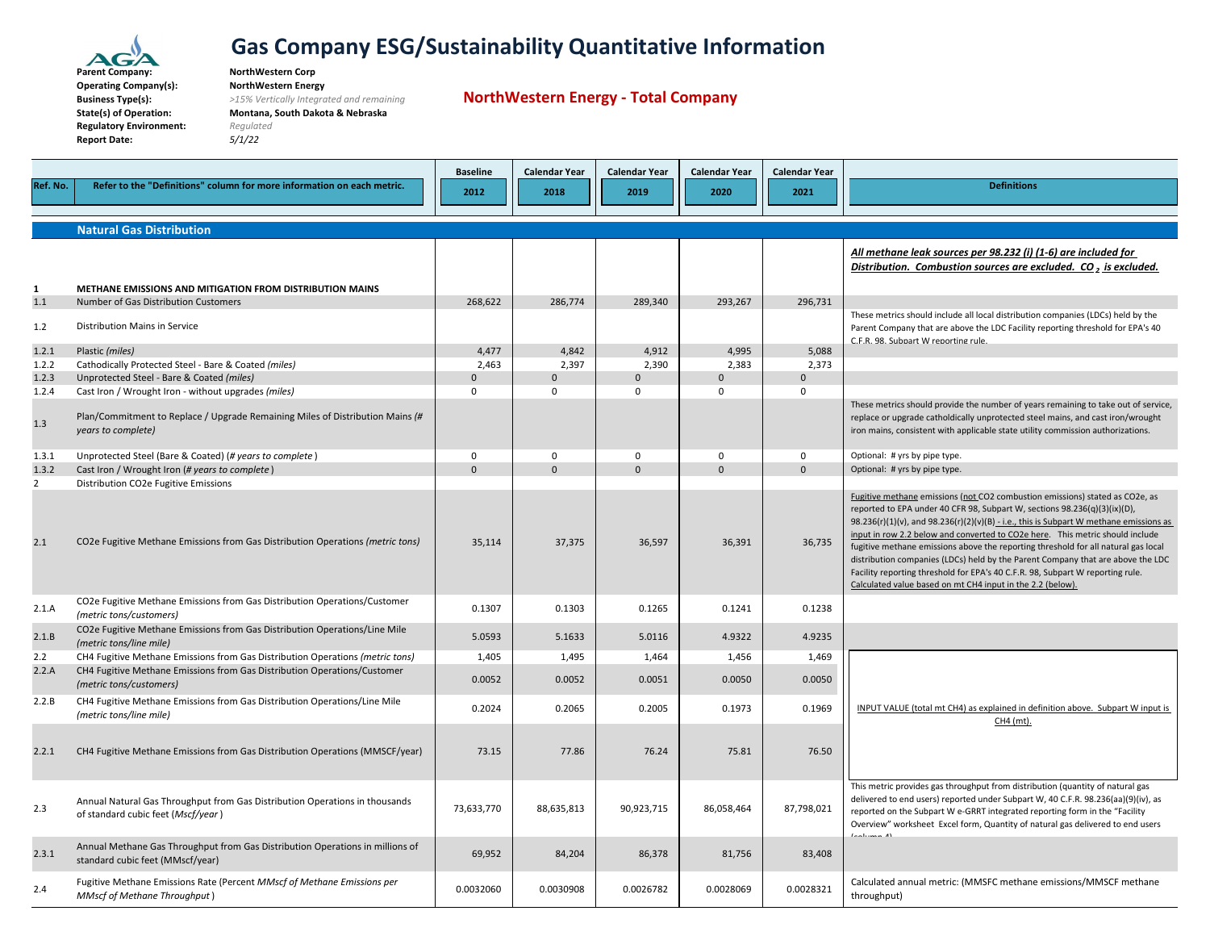

**ParentOperating Company(s): NorthWestern Energy BusinessState(s) of Operation: Montana, South Dakota & Nebraska Regulatory Environment:** *Regulated* **Report Date:** *5/1/22*

 **Company: NorthWestern Corp Type(s):** *>15% Vertically Integrated and remaining*

**NorthWestern Energy ‐ Total Company**

|                |                                                                                                                   | <b>Baseline</b>   | <b>Calendar Year</b>    | <b>Calendar Year</b>    | <b>Calendar Year</b> | <b>Calendar Year</b>  |                                                                                                                                                                                                                                                                                                                                                                                                                                                                                                                                                                                                                                                                    |
|----------------|-------------------------------------------------------------------------------------------------------------------|-------------------|-------------------------|-------------------------|----------------------|-----------------------|--------------------------------------------------------------------------------------------------------------------------------------------------------------------------------------------------------------------------------------------------------------------------------------------------------------------------------------------------------------------------------------------------------------------------------------------------------------------------------------------------------------------------------------------------------------------------------------------------------------------------------------------------------------------|
| Ref. No.       | Refer to the "Definitions" column for more information on each metric.                                            | 2012              | 2018                    | 2019                    | 2020                 | 2021                  | <b>Definitions</b>                                                                                                                                                                                                                                                                                                                                                                                                                                                                                                                                                                                                                                                 |
|                | <b>Natural Gas Distribution</b>                                                                                   |                   |                         |                         |                      |                       |                                                                                                                                                                                                                                                                                                                                                                                                                                                                                                                                                                                                                                                                    |
|                |                                                                                                                   |                   |                         |                         |                      |                       | All methane leak sources per 98.232 (i) (1-6) are included for<br>Distribution. Combustion sources are excluded. CO, is excluded.                                                                                                                                                                                                                                                                                                                                                                                                                                                                                                                                  |
| 1              | METHANE EMISSIONS AND MITIGATION FROM DISTRIBUTION MAINS                                                          |                   |                         |                         |                      |                       |                                                                                                                                                                                                                                                                                                                                                                                                                                                                                                                                                                                                                                                                    |
| 1.1            | Number of Gas Distribution Customers                                                                              | 268,622           | 286,774                 | 289,340                 | 293,267              | 296,731               |                                                                                                                                                                                                                                                                                                                                                                                                                                                                                                                                                                                                                                                                    |
| 1.2            | Distribution Mains in Service                                                                                     |                   |                         |                         |                      |                       | These metrics should include all local distribution companies (LDCs) held by the<br>Parent Company that are above the LDC Facility reporting threshold for EPA's 40<br>C.F.R. 98. Subpart W reporting rule.                                                                                                                                                                                                                                                                                                                                                                                                                                                        |
| 1.2.1          | Plastic (miles)                                                                                                   | 4,477             | 4,842                   | 4,912                   | 4,995                | 5,088                 |                                                                                                                                                                                                                                                                                                                                                                                                                                                                                                                                                                                                                                                                    |
| 1.2.2<br>1.2.3 | Cathodically Protected Steel - Bare & Coated (miles)                                                              | 2,463<br>$\Omega$ | 2,397<br>$\overline{0}$ | 2,390<br>$\overline{0}$ | 2,383<br>$\Omega$    | 2,373<br>$\mathbf{0}$ |                                                                                                                                                                                                                                                                                                                                                                                                                                                                                                                                                                                                                                                                    |
| 1.2.4          | Unprotected Steel - Bare & Coated (miles)<br>Cast Iron / Wrought Iron - without upgrades (miles)                  | $\mathbf 0$       | $\mathbf 0$             | $\Omega$                | $\Omega$             | $\mathbf 0$           |                                                                                                                                                                                                                                                                                                                                                                                                                                                                                                                                                                                                                                                                    |
| 1.3            | Plan/Commitment to Replace / Upgrade Remaining Miles of Distribution Mains (#<br>years to complete)               |                   |                         |                         |                      |                       | These metrics should provide the number of years remaining to take out of service,<br>replace or upgrade catholdically unprotected steel mains, and cast iron/wrought<br>iron mains, consistent with applicable state utility commission authorizations.                                                                                                                                                                                                                                                                                                                                                                                                           |
| 1.3.1          | Unprotected Steel (Bare & Coated) (# years to complete)                                                           | $\mathbf 0$       | $\mathbf 0$             | $\mathbf 0$             | $\mathbf 0$          | $\mathbf 0$           | Optional: # yrs by pipe type.                                                                                                                                                                                                                                                                                                                                                                                                                                                                                                                                                                                                                                      |
| 1.3.2          | Cast Iron / Wrought Iron (# years to complete)                                                                    | $\Omega$          | $\Omega$                | $\Omega$                | $\Omega$             | $\Omega$              | Optional: # yrs by pipe type.                                                                                                                                                                                                                                                                                                                                                                                                                                                                                                                                                                                                                                      |
| $\overline{2}$ | Distribution CO2e Fugitive Emissions                                                                              |                   |                         |                         |                      |                       |                                                                                                                                                                                                                                                                                                                                                                                                                                                                                                                                                                                                                                                                    |
| 2.1            | CO2e Fugitive Methane Emissions from Gas Distribution Operations (metric tons)                                    | 35,114            | 37,375                  | 36,597                  | 36,391               | 36,735                | Fugitive methane emissions (not CO2 combustion emissions) stated as CO2e, as<br>reported to EPA under 40 CFR 98, Subpart W, sections 98.236(q)(3)(ix)(D),<br>$98.236(r)(1)(v)$ , and $98.236(r)(2)(v)(B) - i.e.,$ this is Subpart W methane emissions as<br>input in row 2.2 below and converted to CO2e here. This metric should include<br>fugitive methane emissions above the reporting threshold for all natural gas local<br>distribution companies (LDCs) held by the Parent Company that are above the LDC<br>Facility reporting threshold for EPA's 40 C.F.R. 98, Subpart W reporting rule.<br>Calculated value based on mt CH4 input in the 2.2 (below). |
| 2.1.A          | CO2e Fugitive Methane Emissions from Gas Distribution Operations/Customer<br>(metric tons/customers)              | 0.1307            | 0.1303                  | 0.1265                  | 0.1241               | 0.1238                |                                                                                                                                                                                                                                                                                                                                                                                                                                                                                                                                                                                                                                                                    |
| 2.1.B          | CO2e Fugitive Methane Emissions from Gas Distribution Operations/Line Mile<br>(metric tons/line mile)             | 5.0593            | 5.1633                  | 5.0116                  | 4.9322               | 4.9235                |                                                                                                                                                                                                                                                                                                                                                                                                                                                                                                                                                                                                                                                                    |
| 2.2            | CH4 Fugitive Methane Emissions from Gas Distribution Operations (metric tons)                                     | 1,405             | 1,495                   | 1,464                   | 1,456                | 1,469                 |                                                                                                                                                                                                                                                                                                                                                                                                                                                                                                                                                                                                                                                                    |
| 2.2.A          | CH4 Fugitive Methane Emissions from Gas Distribution Operations/Customer<br>(metric tons/customers)               | 0.0052            | 0.0052                  | 0.0051                  | 0.0050               | 0.0050                |                                                                                                                                                                                                                                                                                                                                                                                                                                                                                                                                                                                                                                                                    |
| 2.2.B          | CH4 Fugitive Methane Emissions from Gas Distribution Operations/Line Mile<br>(metric tons/line mile)              | 0.2024            | 0.2065                  | 0.2005                  | 0.1973               | 0.1969                | INPUT VALUE (total mt CH4) as explained in definition above. Subpart W input is<br>CH4 (mt).                                                                                                                                                                                                                                                                                                                                                                                                                                                                                                                                                                       |
| 2.2.1          | CH4 Fugitive Methane Emissions from Gas Distribution Operations (MMSCF/year)                                      | 73.15             | 77.86                   | 76.24                   | 75.81                | 76.50                 |                                                                                                                                                                                                                                                                                                                                                                                                                                                                                                                                                                                                                                                                    |
| 2.3            | Annual Natural Gas Throughput from Gas Distribution Operations in thousands<br>of standard cubic feet (Mscf/year) | 73,633,770        | 88,635,813              | 90,923,715              | 86,058,464           | 87,798,021            | This metric provides gas throughput from distribution (quantity of natural gas<br>delivered to end users) reported under Subpart W, 40 C.F.R. 98.236(aa)(9)(iv), as<br>reported on the Subpart W e-GRRT integrated reporting form in the "Facility<br>Overview" worksheet Excel form, Quantity of natural gas delivered to end users<br>$l$ aaliimaa Al                                                                                                                                                                                                                                                                                                            |
| 2.3.1          | Annual Methane Gas Throughput from Gas Distribution Operations in millions of<br>standard cubic feet (MMscf/year) | 69,952            | 84,204                  | 86,378                  | 81,756               | 83,408                |                                                                                                                                                                                                                                                                                                                                                                                                                                                                                                                                                                                                                                                                    |
| 2.4            | Fugitive Methane Emissions Rate (Percent MMscf of Methane Emissions per<br><b>MMscf of Methane Throughput</b> )   | 0.0032060         | 0.0030908               | 0.0026782               | 0.0028069            | 0.0028321             | Calculated annual metric: (MMSFC methane emissions/MMSCF methane<br>throughput)                                                                                                                                                                                                                                                                                                                                                                                                                                                                                                                                                                                    |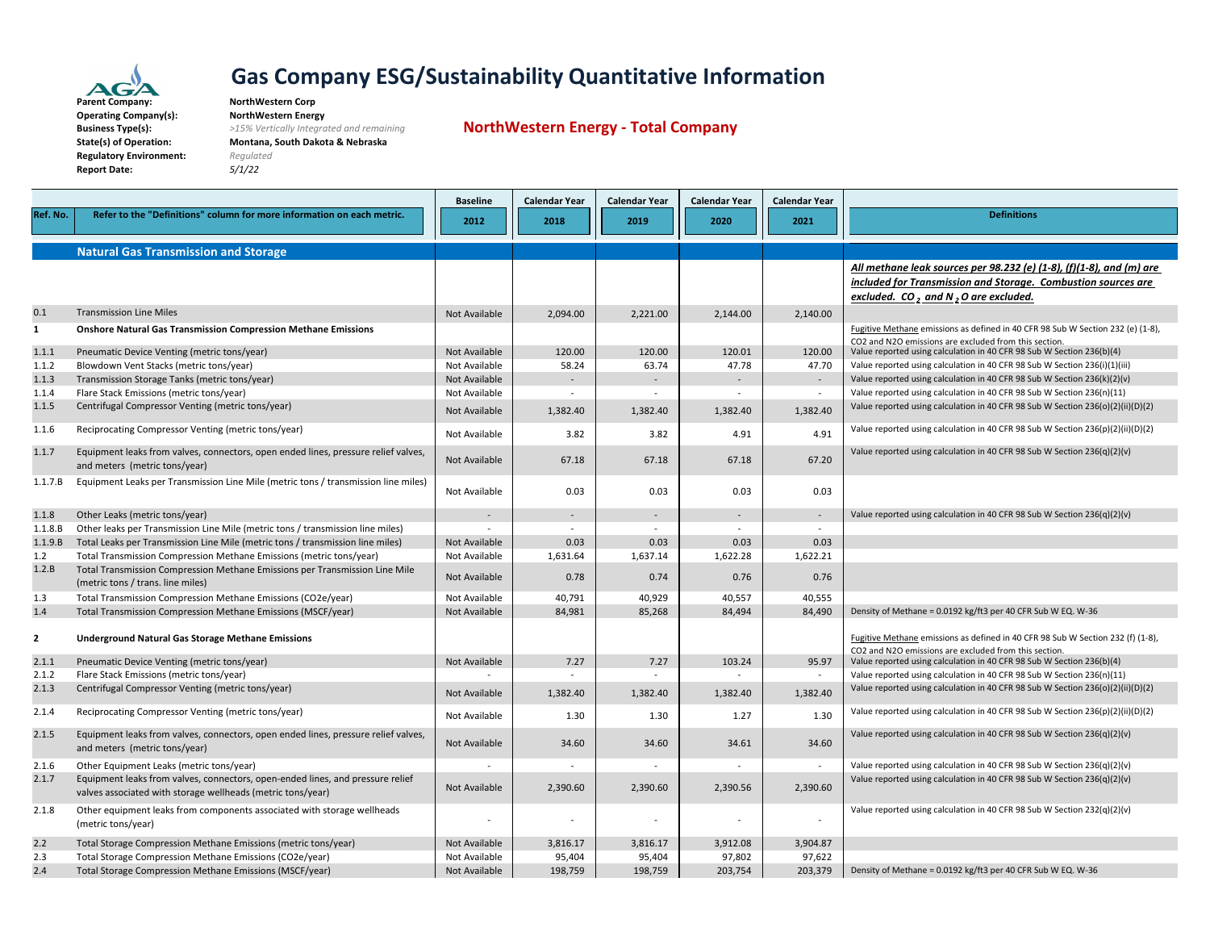

**Business**

#### **Gas Company ESG/Sustainability Quantitative Information NorthWestern Corp**

**Operating Company(s): NorthWestern Energy Type(s):** *>15% Vertically Integrated and remaining* **State(s) of Operation: Montana, South Dakota & Nebraska Regulatory Environment:** *Regulated* **Report Date:** *5/1/22*

**NorthWestern Energy ‐ Total Company**

|              |                                                                                                                                               | <b>Baseline</b> | <b>Calendar Year</b>     | <b>Calendar Year</b>     | <b>Calendar Year</b>     | <b>Calendar Year</b>     |                                                                                                                                |
|--------------|-----------------------------------------------------------------------------------------------------------------------------------------------|-----------------|--------------------------|--------------------------|--------------------------|--------------------------|--------------------------------------------------------------------------------------------------------------------------------|
| Ref. No.     | Refer to the "Definitions" column for more information on each metric.                                                                        | 2012            | 2018                     | 2019                     | 2020                     | 2021                     | <b>Definitions</b>                                                                                                             |
|              |                                                                                                                                               |                 |                          |                          |                          |                          |                                                                                                                                |
|              | <b>Natural Gas Transmission and Storage</b>                                                                                                   |                 |                          |                          |                          |                          |                                                                                                                                |
|              |                                                                                                                                               |                 |                          |                          |                          |                          | All methane leak sources per 98.232 (e) (1-8), (f)(1-8), and (m) are                                                           |
|              |                                                                                                                                               |                 |                          |                          |                          |                          | included for Transmission and Storage. Combustion sources are                                                                  |
|              |                                                                                                                                               |                 |                          |                          |                          |                          | excluded. $CO2$ and N <sub>2</sub> O are excluded.                                                                             |
| 0.1          | <b>Transmission Line Miles</b>                                                                                                                |                 |                          |                          |                          |                          |                                                                                                                                |
|              |                                                                                                                                               | Not Available   | 2,094.00                 | 2,221.00                 | 2,144.00                 | 2,140.00                 |                                                                                                                                |
| $\mathbf{1}$ | <b>Onshore Natural Gas Transmission Compression Methane Emissions</b>                                                                         |                 |                          |                          |                          |                          | Fugitive Methane emissions as defined in 40 CFR 98 Sub W Section 232 (e) (1-8),                                                |
| 1.1.1        | Pneumatic Device Venting (metric tons/year)                                                                                                   | Not Available   | 120.00                   | 120.00                   | 120.01                   | 120.00                   | CO2 and N2O emissions are excluded from this section.<br>Value reported using calculation in 40 CFR 98 Sub W Section 236(b)(4) |
| 1.1.2        | Blowdown Vent Stacks (metric tons/year)                                                                                                       | Not Available   | 58.24                    | 63.74                    | 47.78                    | 47.70                    | Value reported using calculation in 40 CFR 98 Sub W Section 236(i)(1)(iii)                                                     |
| 1.1.3        | Transmission Storage Tanks (metric tons/year)                                                                                                 | Not Available   | $\sim$                   | $\sim$                   | $\sim$                   | $\sim$                   | Value reported using calculation in 40 CFR 98 Sub W Section 236(k)(2)(v)                                                       |
| 1.1.4        | Flare Stack Emissions (metric tons/year)                                                                                                      | Not Available   | $\sim$                   | $\sim$                   | $\sim$                   | $\sim$                   | Value reported using calculation in 40 CFR 98 Sub W Section 236(n)(11)                                                         |
| 1.1.5        | Centrifugal Compressor Venting (metric tons/year)                                                                                             |                 |                          |                          |                          |                          | Value reported using calculation in 40 CFR 98 Sub W Section 236(o)(2)(ii)(D)(2)                                                |
|              |                                                                                                                                               | Not Available   | 1,382.40                 | 1,382.40                 | 1,382.40                 | 1,382.40                 |                                                                                                                                |
| 1.1.6        | Reciprocating Compressor Venting (metric tons/year)                                                                                           | Not Available   | 3.82                     | 3.82                     | 4.91                     | 4.91                     | Value reported using calculation in 40 CFR 98 Sub W Section 236(p)(2)(ii)(D)(2)                                                |
| 1.1.7        | Equipment leaks from valves, connectors, open ended lines, pressure relief valves,<br>and meters (metric tons/year)                           | Not Available   | 67.18                    | 67.18                    | 67.18                    | 67.20                    | Value reported using calculation in 40 CFR 98 Sub W Section 236(q)(2)(v)                                                       |
| 1.1.7.B      | Equipment Leaks per Transmission Line Mile (metric tons / transmission line miles)                                                            | Not Available   | 0.03                     | 0.03                     | 0.03                     | 0.03                     |                                                                                                                                |
| 1.1.8        | Other Leaks (metric tons/year)                                                                                                                |                 | $\sim$                   | $\sim$                   | $\sim$                   | $\sim$                   | Value reported using calculation in 40 CFR 98 Sub W Section 236(q)(2)(v)                                                       |
| 1.1.8.B      | Other leaks per Transmission Line Mile (metric tons / transmission line miles)                                                                | $\sim$          | $\sim$                   | $\sim$                   | $\sim$                   | $\sim$                   |                                                                                                                                |
| 1.1.9.B      | Total Leaks per Transmission Line Mile (metric tons / transmission line miles)                                                                | Not Available   | 0.03                     | 0.03                     | 0.03                     | 0.03                     |                                                                                                                                |
| 1.2          | Total Transmission Compression Methane Emissions (metric tons/year)                                                                           | Not Available   | 1,631.64                 | 1,637.14                 | 1,622.28                 | 1,622.21                 |                                                                                                                                |
| 1.2.B        | Total Transmission Compression Methane Emissions per Transmission Line Mile                                                                   |                 |                          |                          |                          |                          |                                                                                                                                |
|              | (metric tons / trans. line miles)                                                                                                             | Not Available   | 0.78                     | 0.74                     | 0.76                     | 0.76                     |                                                                                                                                |
| 1.3          | Total Transmission Compression Methane Emissions (CO2e/year)                                                                                  | Not Available   | 40,791                   | 40,929                   | 40,557                   | 40,555                   |                                                                                                                                |
| 1.4          | Total Transmission Compression Methane Emissions (MSCF/year)                                                                                  | Not Available   | 84,981                   | 85,268                   | 84,494                   | 84,490                   | Density of Methane = 0.0192 kg/ft3 per 40 CFR Sub W EQ. W-36                                                                   |
| 2            | <b>Underground Natural Gas Storage Methane Emissions</b>                                                                                      |                 |                          |                          |                          |                          | Fugitive Methane emissions as defined in 40 CFR 98 Sub W Section 232 (f) (1-8),                                                |
| 2.1.1        | Pneumatic Device Venting (metric tons/year)                                                                                                   | Not Available   | 7.27                     | 7.27                     | 103.24                   | 95.97                    | CO2 and N2O emissions are excluded from this section.<br>Value reported using calculation in 40 CFR 98 Sub W Section 236(b)(4) |
| 2.1.2        | Flare Stack Emissions (metric tons/year)                                                                                                      |                 | $\overline{\phantom{a}}$ | $\sim$                   |                          |                          | Value reported using calculation in 40 CFR 98 Sub W Section 236(n)(11)                                                         |
| 2.1.3        | Centrifugal Compressor Venting (metric tons/year)                                                                                             | Not Available   | 1,382.40                 | 1,382.40                 | 1,382.40                 | 1,382.40                 | Value reported using calculation in 40 CFR 98 Sub W Section 236(o)(2)(ii)(D)(2)                                                |
| 2.1.4        | Reciprocating Compressor Venting (metric tons/year)                                                                                           | Not Available   | 1.30                     | 1.30                     | 1.27                     | 1.30                     | Value reported using calculation in 40 CFR 98 Sub W Section 236(p)(2)(ii)(D)(2)                                                |
| 2.1.5        | Equipment leaks from valves, connectors, open ended lines, pressure relief valves,<br>and meters (metric tons/year)                           | Not Available   | 34.60                    | 34.60                    | 34.61                    | 34.60                    | Value reported using calculation in 40 CFR 98 Sub W Section 236(q)(2)(v)                                                       |
| 2.1.6        | Other Equipment Leaks (metric tons/year)                                                                                                      |                 | $\sim$                   |                          |                          | $\sim$                   | Value reported using calculation in 40 CFR 98 Sub W Section 236(q)(2)(v)                                                       |
| 2.1.7        | Equipment leaks from valves, connectors, open-ended lines, and pressure relief<br>valves associated with storage wellheads (metric tons/year) | Not Available   | 2,390.60                 | 2,390.60                 | 2,390.56                 | 2,390.60                 | Value reported using calculation in 40 CFR 98 Sub W Section 236(q)(2)(v)                                                       |
| 2.1.8        | Other equipment leaks from components associated with storage wellheads<br>(metric tons/year)                                                 |                 | $\sim$                   | $\overline{\phantom{a}}$ | $\overline{\phantom{a}}$ | $\overline{\phantom{a}}$ | Value reported using calculation in 40 CFR 98 Sub W Section 232(q)(2)(v)                                                       |
| 2.2          | Total Storage Compression Methane Emissions (metric tons/year)                                                                                | Not Available   | 3,816.17                 | 3,816.17                 | 3,912.08                 | 3,904.87                 |                                                                                                                                |
| 2.3          | Total Storage Compression Methane Emissions (CO2e/year)                                                                                       | Not Available   | 95.404                   | 95,404                   | 97.802                   | 97,622                   |                                                                                                                                |
| 2.4          | Total Storage Compression Methane Emissions (MSCF/year)                                                                                       | Not Available   | 198,759                  | 198,759                  | 203,754                  | 203,379                  | Density of Methane = 0.0192 kg/ft3 per 40 CFR Sub W EQ. W-36                                                                   |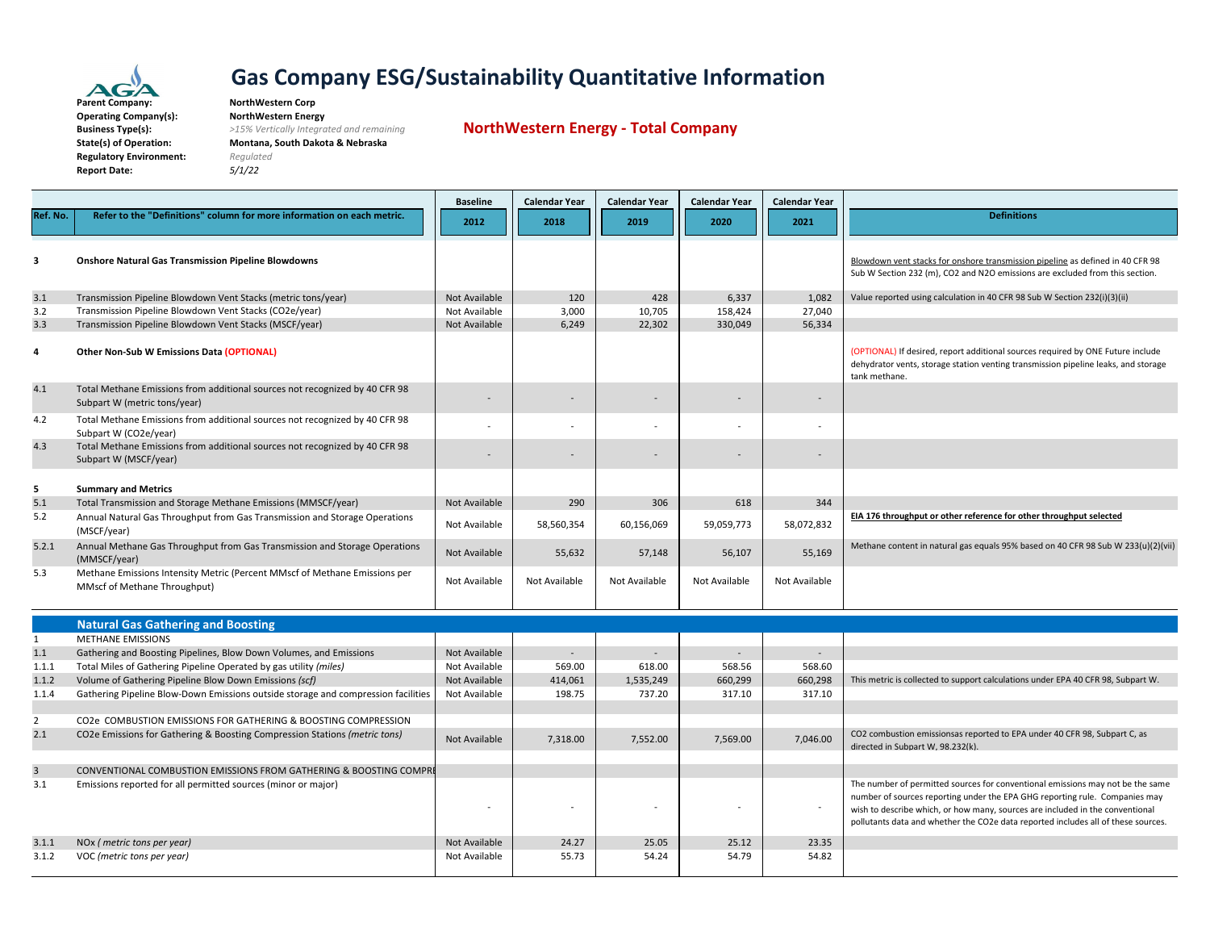

| Parent Company:                |
|--------------------------------|
| <b>Operating Company(s):</b>   |
| <b>Business Type(s):</b>       |
| <b>State(s) of Operation:</b>  |
| <b>Regulatory Environment:</b> |
| <b>Report Date:</b>            |
|                                |

#### **Company: NorthWestern Corp Operating Company(s): NorthWestern Energy**

**Report Date:** *5/1/22*

 **Type(s):** *>15% Vertically Integrated and remaining* **State(s) of Operation: Montana, South Dakota & Nebraska**  $Required$ 

**NorthWestern Energy ‐ Total Company**

|                |                                                                                                             | <b>Baseline</b> | <b>Calendar Year</b>     | <b>Calendar Year</b> | <b>Calendar Year</b> | <b>Calendar Year</b>     |                                                                                                                                                                                                                                                                                                                                     |
|----------------|-------------------------------------------------------------------------------------------------------------|-----------------|--------------------------|----------------------|----------------------|--------------------------|-------------------------------------------------------------------------------------------------------------------------------------------------------------------------------------------------------------------------------------------------------------------------------------------------------------------------------------|
| Ref. No.       | Refer to the "Definitions" column for more information on each metric.                                      | 2012            | 2018                     | 2019                 | 2020                 | 2021                     | <b>Definitions</b>                                                                                                                                                                                                                                                                                                                  |
|                |                                                                                                             |                 |                          |                      |                      |                          |                                                                                                                                                                                                                                                                                                                                     |
| 3              | <b>Onshore Natural Gas Transmission Pipeline Blowdowns</b>                                                  |                 |                          |                      |                      |                          | Blowdown vent stacks for onshore transmission pipeline as defined in 40 CFR 98<br>Sub W Section 232 (m), CO2 and N2O emissions are excluded from this section.                                                                                                                                                                      |
| 3.1            | Transmission Pipeline Blowdown Vent Stacks (metric tons/year)                                               | Not Available   | 120                      | 428                  | 6,337                | 1,082                    | Value reported using calculation in 40 CFR 98 Sub W Section 232(i)(3)(ii)                                                                                                                                                                                                                                                           |
| 3.2            | Transmission Pipeline Blowdown Vent Stacks (CO2e/year)                                                      | Not Available   | 3,000                    | 10,705               | 158,424              | 27,040                   |                                                                                                                                                                                                                                                                                                                                     |
| 3.3            | Transmission Pipeline Blowdown Vent Stacks (MSCF/year)                                                      | Not Available   | 6,249                    | 22,302               | 330,049              | 56,334                   |                                                                                                                                                                                                                                                                                                                                     |
| $\overline{a}$ | Other Non-Sub W Emissions Data (OPTIONAL)                                                                   |                 |                          |                      |                      |                          | (OPTIONAL) If desired, report additional sources required by ONE Future include<br>dehydrator vents, storage station venting transmission pipeline leaks, and storage<br>tank methane.                                                                                                                                              |
| 4.1            | Total Methane Emissions from additional sources not recognized by 40 CFR 98<br>Subpart W (metric tons/year) |                 |                          |                      |                      |                          |                                                                                                                                                                                                                                                                                                                                     |
| 4.2            | Total Methane Emissions from additional sources not recognized by 40 CFR 98<br>Subpart W (CO2e/year)        |                 |                          |                      |                      |                          |                                                                                                                                                                                                                                                                                                                                     |
| 4.3            | Total Methane Emissions from additional sources not recognized by 40 CFR 98<br>Subpart W (MSCF/year)        |                 |                          |                      |                      |                          |                                                                                                                                                                                                                                                                                                                                     |
| 5              | <b>Summary and Metrics</b>                                                                                  |                 |                          |                      |                      |                          |                                                                                                                                                                                                                                                                                                                                     |
| 5.1            | Total Transmission and Storage Methane Emissions (MMSCF/year)                                               | Not Available   | 290                      | 306                  | 618                  | 344                      |                                                                                                                                                                                                                                                                                                                                     |
| 5.2            | Annual Natural Gas Throughput from Gas Transmission and Storage Operations<br>(MSCF/year)                   | Not Available   | 58,560,354               | 60,156,069           | 59,059,773           | 58,072,832               | EIA 176 throughput or other reference for other throughput selected                                                                                                                                                                                                                                                                 |
| 5.2.1          | Annual Methane Gas Throughput from Gas Transmission and Storage Operations<br>(MMSCF/year)                  | Not Available   | 55,632                   | 57,148               | 56,107               | 55,169                   | Methane content in natural gas equals 95% based on 40 CFR 98 Sub W 233(u)(2)(vii)                                                                                                                                                                                                                                                   |
| 5.3            | Methane Emissions Intensity Metric (Percent MMscf of Methane Emissions per<br>MMscf of Methane Throughput)  | Not Available   | Not Available            | Not Available        | Not Available        | Not Available            |                                                                                                                                                                                                                                                                                                                                     |
|                | <b>Natural Gas Gathering and Boosting</b>                                                                   |                 |                          |                      |                      |                          |                                                                                                                                                                                                                                                                                                                                     |
| $\mathbf{1}$   | <b>METHANE EMISSIONS</b>                                                                                    |                 |                          |                      |                      |                          |                                                                                                                                                                                                                                                                                                                                     |
| 1.1            | Gathering and Boosting Pipelines, Blow Down Volumes, and Emissions                                          | Not Available   | $\overline{\phantom{a}}$ |                      |                      | $\overline{\phantom{a}}$ |                                                                                                                                                                                                                                                                                                                                     |
| 1.1.1          | Total Miles of Gathering Pipeline Operated by gas utility (miles)                                           | Not Available   | 569.00                   | 618.00               | 568.56               | 568.60                   |                                                                                                                                                                                                                                                                                                                                     |
| 1.1.2          | Volume of Gathering Pipeline Blow Down Emissions (scf)                                                      | Not Available   | 414,061                  | 1,535,249            | 660,299              | 660,298                  | This metric is collected to support calculations under EPA 40 CFR 98, Subpart W.                                                                                                                                                                                                                                                    |
| 1.1.4          | Gathering Pipeline Blow-Down Emissions outside storage and compression facilities                           | Not Available   | 198.75                   | 737.20               | 317.10               | 317.10                   |                                                                                                                                                                                                                                                                                                                                     |
|                |                                                                                                             |                 |                          |                      |                      |                          |                                                                                                                                                                                                                                                                                                                                     |
| $\overline{2}$ | CO2e COMBUSTION EMISSIONS FOR GATHERING & BOOSTING COMPRESSION                                              |                 |                          |                      |                      |                          |                                                                                                                                                                                                                                                                                                                                     |
| 2.1            | CO2e Emissions for Gathering & Boosting Compression Stations (metric tons)                                  | Not Available   | 7,318.00                 | 7,552.00             | 7,569.00             | 7,046.00                 | CO2 combustion emissionsas reported to EPA under 40 CFR 98, Subpart C, as<br>directed in Subpart W, 98.232(k).                                                                                                                                                                                                                      |
| $\overline{3}$ | <b>CONVENTIONAL COMBUSTION EMISSIONS FROM GATHERING &amp; BOOSTING COMPRI</b>                               |                 |                          |                      |                      |                          |                                                                                                                                                                                                                                                                                                                                     |
| 3.1            | Emissions reported for all permitted sources (minor or major)                                               |                 |                          |                      |                      | $\overline{\phantom{a}}$ | The number of permitted sources for conventional emissions may not be the same<br>number of sources reporting under the EPA GHG reporting rule. Companies may<br>wish to describe which, or how many, sources are included in the conventional<br>pollutants data and whether the CO2e data reported includes all of these sources. |
| 3.1.1          | NOx (metric tons per year)                                                                                  | Not Available   | 24.27                    | 25.05                | 25.12                | 23.35                    |                                                                                                                                                                                                                                                                                                                                     |
| 3.1.2          | VOC (metric tons per year)                                                                                  | Not Available   | 55.73                    | 54.24                | 54.79                | 54.82                    |                                                                                                                                                                                                                                                                                                                                     |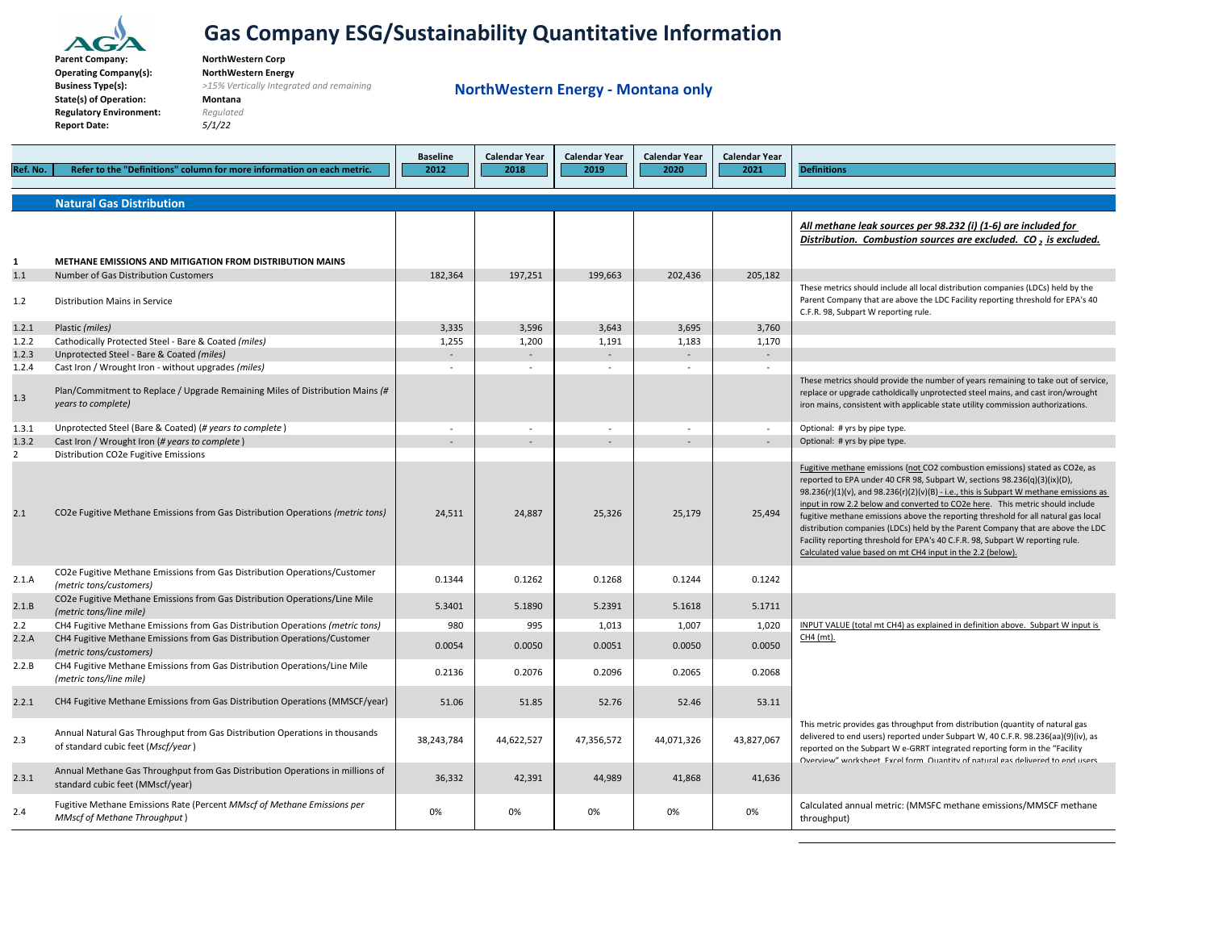

**ParentOperating Company(s): NorthWestern Energy BusinessState(s) of Operation: Montana Regulatory Environment:** *Regulated* **Report Date:** *5/1/22*

 **Company: NorthWestern Corp Type(s):** *>15% Vertically Integrated and remaining*

**NorthWestern Energy ‐ Montana only**

| Ref. No.                | Refer to the "Definitions" column for more information on each metric.                                                                                     | <b>Baseline</b><br>2012 | <b>Calendar Year</b><br>2018 | <b>Calendar Year</b><br>2019 | <b>Calendar Year</b><br>2020 | Calendar Year<br>2021 | <b>Definitions</b>                                                                                                                                                                                                                                                                                                                                                                                                                                                                                                                                                                                                                                            |
|-------------------------|------------------------------------------------------------------------------------------------------------------------------------------------------------|-------------------------|------------------------------|------------------------------|------------------------------|-----------------------|---------------------------------------------------------------------------------------------------------------------------------------------------------------------------------------------------------------------------------------------------------------------------------------------------------------------------------------------------------------------------------------------------------------------------------------------------------------------------------------------------------------------------------------------------------------------------------------------------------------------------------------------------------------|
|                         | <b>Natural Gas Distribution</b>                                                                                                                            |                         |                              |                              |                              |                       |                                                                                                                                                                                                                                                                                                                                                                                                                                                                                                                                                                                                                                                               |
|                         |                                                                                                                                                            |                         |                              |                              |                              |                       | All methane leak sources per 98.232 (i) (1-6) are included for<br>Distribution. Combustion sources are excluded. CO, is excluded.                                                                                                                                                                                                                                                                                                                                                                                                                                                                                                                             |
| 1<br>1.1                | <b>METHANE EMISSIONS AND MITIGATION FROM DISTRIBUTION MAINS</b><br>Number of Gas Distribution Customers                                                    | 182,364                 | 197,251                      | 199,663                      | 202,436                      | 205,182               |                                                                                                                                                                                                                                                                                                                                                                                                                                                                                                                                                                                                                                                               |
| 1.2                     | Distribution Mains in Service                                                                                                                              |                         |                              |                              |                              |                       | These metrics should include all local distribution companies (LDCs) held by the<br>Parent Company that are above the LDC Facility reporting threshold for EPA's 40<br>C.F.R. 98, Subpart W reporting rule.                                                                                                                                                                                                                                                                                                                                                                                                                                                   |
| 1.2.1                   | Plastic (miles)                                                                                                                                            | 3,335                   | 3,596                        | 3,643                        | 3,695                        | 3,760                 |                                                                                                                                                                                                                                                                                                                                                                                                                                                                                                                                                                                                                                                               |
| 1.2.2                   | Cathodically Protected Steel - Bare & Coated (miles)                                                                                                       | 1,255                   | 1,200                        | 1,191                        | 1,183                        | 1,170                 |                                                                                                                                                                                                                                                                                                                                                                                                                                                                                                                                                                                                                                                               |
| 1.2.3                   | Unprotected Steel - Bare & Coated (miles)                                                                                                                  |                         | $\sim$                       |                              |                              | $\sim$                |                                                                                                                                                                                                                                                                                                                                                                                                                                                                                                                                                                                                                                                               |
| 1.2.4<br>1.3            | Cast Iron / Wrought Iron - without upgrades (miles)<br>Plan/Commitment to Replace / Upgrade Remaining Miles of Distribution Mains (#<br>years to complete) | $\sim$                  | $\sim$                       | $\sim$                       | $\sim$                       | $\sim$                | These metrics should provide the number of years remaining to take out of service,<br>replace or upgrade catholdically unprotected steel mains, and cast iron/wrought<br>iron mains, consistent with applicable state utility commission authorizations.                                                                                                                                                                                                                                                                                                                                                                                                      |
| 1.3.1                   | Unprotected Steel (Bare & Coated) (# years to complete)                                                                                                    |                         | $\sim$                       | $\overline{\phantom{a}}$     |                              | $\sim$                | Optional: # yrs by pipe type.                                                                                                                                                                                                                                                                                                                                                                                                                                                                                                                                                                                                                                 |
| 1.3.2<br>$\overline{2}$ | Cast Iron / Wrought Iron (# years to complete)<br>Distribution CO2e Fugitive Emissions                                                                     |                         |                              |                              |                              |                       | Optional: # yrs by pipe type.                                                                                                                                                                                                                                                                                                                                                                                                                                                                                                                                                                                                                                 |
| 2.1                     | CO2e Fugitive Methane Emissions from Gas Distribution Operations (metric tons)                                                                             | 24,511                  | 24,887                       | 25,326                       | 25,179                       | 25,494                | Fugitive methane emissions (not CO2 combustion emissions) stated as CO2e, as<br>reported to EPA under 40 CFR 98, Subpart W, sections 98.236(q)(3)(ix)(D),<br>98.236(r)(1)(v), and 98.236(r)(2)(v)(B) - i.e., this is Subpart W methane emissions as<br>input in row 2.2 below and converted to CO2e here. This metric should include<br>fugitive methane emissions above the reporting threshold for all natural gas local<br>distribution companies (LDCs) held by the Parent Company that are above the LDC<br>Facility reporting threshold for EPA's 40 C.F.R. 98, Subpart W reporting rule.<br>Calculated value based on mt CH4 input in the 2.2 (below). |
| 2.1.A                   | CO2e Fugitive Methane Emissions from Gas Distribution Operations/Customer<br>(metric tons/customers)                                                       | 0.1344                  | 0.1262                       | 0.1268                       | 0.1244                       | 0.1242                |                                                                                                                                                                                                                                                                                                                                                                                                                                                                                                                                                                                                                                                               |
| 2.1.B                   | CO2e Fugitive Methane Emissions from Gas Distribution Operations/Line Mile<br>(metric tons/line mile)                                                      | 5.3401                  | 5.1890                       | 5.2391                       | 5.1618                       | 5.1711                |                                                                                                                                                                                                                                                                                                                                                                                                                                                                                                                                                                                                                                                               |
| 2.2                     | CH4 Fugitive Methane Emissions from Gas Distribution Operations (metric tons)                                                                              | 980                     | 995                          | 1,013                        | 1,007                        | 1,020                 | INPUT VALUE (total mt CH4) as explained in definition above. Subpart W input is                                                                                                                                                                                                                                                                                                                                                                                                                                                                                                                                                                               |
| 2.2.A                   | CH4 Fugitive Methane Emissions from Gas Distribution Operations/Customer<br>(metric tons/customers)                                                        | 0.0054                  | 0.0050                       | 0.0051                       | 0.0050                       | 0.0050                | CH4 (mt).                                                                                                                                                                                                                                                                                                                                                                                                                                                                                                                                                                                                                                                     |
| 2.2.B                   | CH4 Fugitive Methane Emissions from Gas Distribution Operations/Line Mile<br>(metric tons/line mile)                                                       | 0.2136                  | 0.2076                       | 0.2096                       | 0.2065                       | 0.2068                |                                                                                                                                                                                                                                                                                                                                                                                                                                                                                                                                                                                                                                                               |
| 2.2.1                   | CH4 Fugitive Methane Emissions from Gas Distribution Operations (MMSCF/year)                                                                               | 51.06                   | 51.85                        | 52.76                        | 52.46                        | 53.11                 |                                                                                                                                                                                                                                                                                                                                                                                                                                                                                                                                                                                                                                                               |
| 2.3                     | Annual Natural Gas Throughput from Gas Distribution Operations in thousands<br>of standard cubic feet (Mscf/year)                                          | 38,243,784              | 44,622,527                   | 47,356,572                   | 44,071,326                   | 43,827,067            | This metric provides gas throughput from distribution (quantity of natural gas<br>delivered to end users) reported under Subpart W, 40 C.F.R. 98.236(aa)(9)(iv), as<br>reported on the Subpart W e-GRRT integrated reporting form in the "Facility<br>Oventiew" worksheet Evrel form Quantity of natural das delivered to end users                                                                                                                                                                                                                                                                                                                           |
| 2.3.1                   | Annual Methane Gas Throughput from Gas Distribution Operations in millions of<br>standard cubic feet (MMscf/year)                                          | 36,332                  | 42,391                       | 44,989                       | 41,868                       | 41,636                |                                                                                                                                                                                                                                                                                                                                                                                                                                                                                                                                                                                                                                                               |
| 2.4                     | Fugitive Methane Emissions Rate (Percent MMscf of Methane Emissions per<br><b>MMscf of Methane Throughput</b> )                                            | 0%                      | 0%                           | 0%                           | 0%                           | 0%                    | Calculated annual metric: (MMSFC methane emissions/MMSCF methane<br>throughput)                                                                                                                                                                                                                                                                                                                                                                                                                                                                                                                                                                               |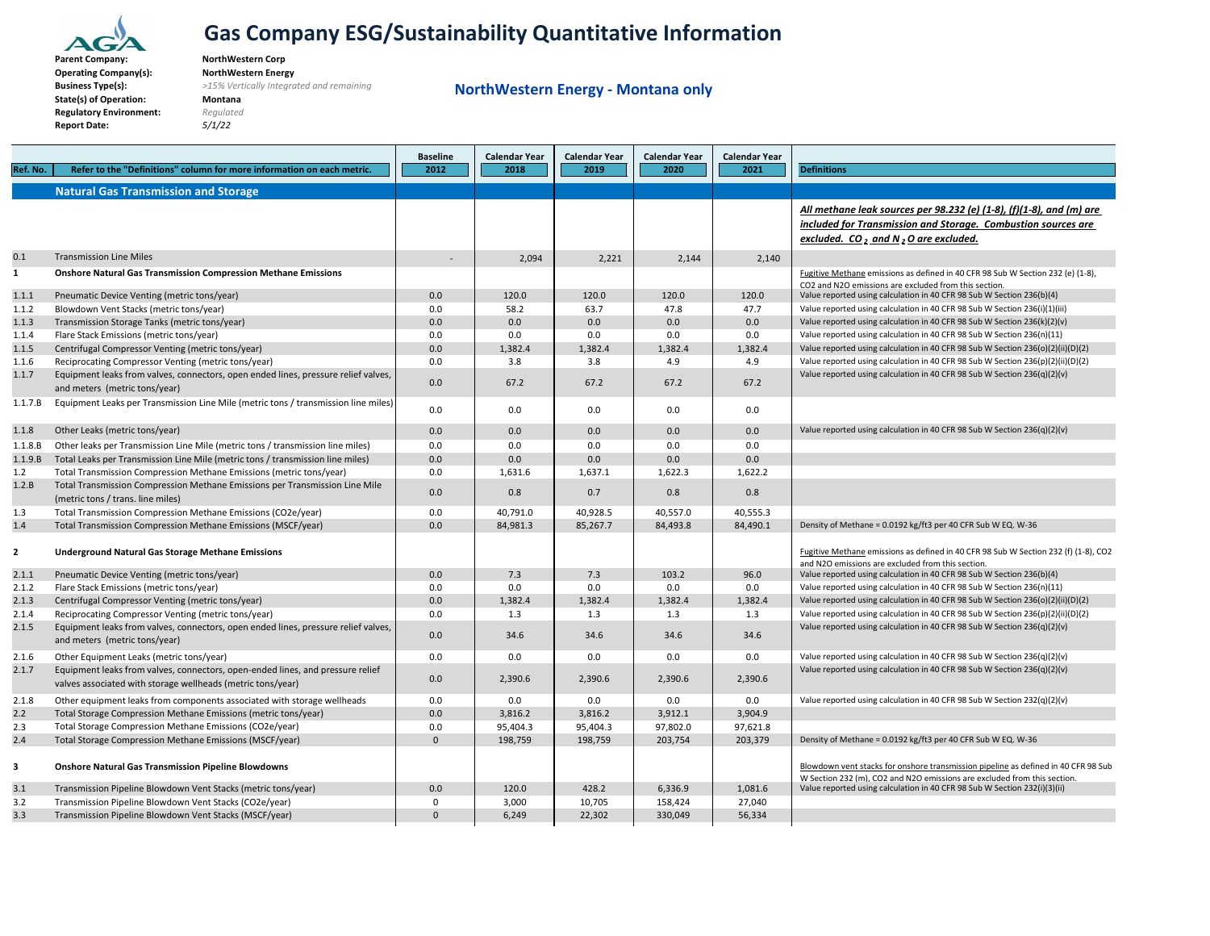

**ParentBusinessState(s) of Operation: Montana Regulatory Environment:** *Regulated* **Report Date:** *5/1/22*

 **Company: NorthWestern Corp Operating Company(s): NorthWestern Energy Type(s):** *>15% Vertically Integrated and remaining*

**NorthWestern Energy ‐ Montana only**

|                         |                                                                                          | <b>Baseline</b> | <b>Calendar Year</b> | <b>Calendar Year</b> | <b>Calendar Year</b> | <b>Calendar Year</b> |                                                                                                                                                        |
|-------------------------|------------------------------------------------------------------------------------------|-----------------|----------------------|----------------------|----------------------|----------------------|--------------------------------------------------------------------------------------------------------------------------------------------------------|
| Ref. No.                | Refer to the "Definitions" column for more information on each metric.                   | 2012            | 2018                 | 2019                 | 2020                 | 2021                 | <b>Definitions</b>                                                                                                                                     |
|                         | <b>Natural Gas Transmission and Storage</b>                                              |                 |                      |                      |                      |                      |                                                                                                                                                        |
|                         |                                                                                          |                 |                      |                      |                      |                      |                                                                                                                                                        |
|                         |                                                                                          |                 |                      |                      |                      |                      | All methane leak sources per 98.232 (e) (1-8), (f)(1-8), and (m) are                                                                                   |
|                         |                                                                                          |                 |                      |                      |                      |                      | included for Transmission and Storage. Combustion sources are                                                                                          |
|                         |                                                                                          |                 |                      |                      |                      |                      | excluded. CO, and N, O are excluded.                                                                                                                   |
| 0.1                     | <b>Transmission Line Miles</b>                                                           | $\sim$          | 2,094                | 2,221                | 2.144                | 2,140                |                                                                                                                                                        |
| $\mathbf{1}$            | <b>Onshore Natural Gas Transmission Compression Methane Emissions</b>                    |                 |                      |                      |                      |                      | Fugitive Methane emissions as defined in 40 CFR 98 Sub W Section 232 (e) (1-8),                                                                        |
|                         |                                                                                          |                 |                      |                      |                      |                      | CO2 and N2O emissions are excluded from this section.                                                                                                  |
| 1.1.1                   | Pneumatic Device Venting (metric tons/year)                                              | 0.0             | 120.0                | 120.0                | 120.0<br>47.8        | 120.0                | Value reported using calculation in 40 CFR 98 Sub W Section 236(b)(4)                                                                                  |
| 1.1.2<br>1.1.3          | Blowdown Vent Stacks (metric tons/year)<br>Transmission Storage Tanks (metric tons/year) | 0.0<br>0.0      | 58.2<br>0.0          | 63.7<br>0.0          | 0.0                  | 47.7<br>0.0          | Value reported using calculation in 40 CFR 98 Sub W Section 236(i)(1)(iii)<br>Value reported using calculation in 40 CFR 98 Sub W Section 236(k)(2)(v) |
| 1.1.4                   | Flare Stack Emissions (metric tons/year)                                                 | 0.0             | 0.0                  | 0.0                  | 0.0                  | 0.0                  | Value reported using calculation in 40 CFR 98 Sub W Section 236(n)(11)                                                                                 |
| 1.1.5                   | Centrifugal Compressor Venting (metric tons/year)                                        | 0.0             | 1,382.4              | 1,382.4              | 1,382.4              | 1,382.4              | Value reported using calculation in 40 CFR 98 Sub W Section 236(o)(2)(ii)(D)(2)                                                                        |
| 1.1.6                   | Reciprocating Compressor Venting (metric tons/year)                                      | 0.0             | 3.8                  | 3.8                  | 4.9                  | 4.9                  | Value reported using calculation in 40 CFR 98 Sub W Section 236(p)(2)(ii)(D)(2)                                                                        |
| 1.1.7                   | Equipment leaks from valves, connectors, open ended lines, pressure relief valves,       |                 |                      |                      |                      |                      | Value reported using calculation in 40 CFR 98 Sub W Section 236(q)(2)(v)                                                                               |
|                         | and meters (metric tons/year)                                                            | 0.0             | 67.2                 | 67.2                 | 67.2                 | 67.2                 |                                                                                                                                                        |
| 1.1.7.B                 | Equipment Leaks per Transmission Line Mile (metric tons / transmission line miles)       |                 |                      |                      |                      |                      |                                                                                                                                                        |
|                         |                                                                                          | 0.0             | 0.0                  | 0.0                  | 0.0                  | 0.0                  |                                                                                                                                                        |
| 1.1.8                   | Other Leaks (metric tons/year)                                                           | 0.0             | 0.0                  | 0.0                  | 0.0                  | 0.0                  | Value reported using calculation in 40 CFR 98 Sub W Section 236(q)(2)(v)                                                                               |
| 1.1.8.B                 | Other leaks per Transmission Line Mile (metric tons / transmission line miles)           | 0.0             | 0.0                  | 0.0                  | 0.0                  | 0.0                  |                                                                                                                                                        |
| 1.1.9.B                 | Total Leaks per Transmission Line Mile (metric tons / transmission line miles)           | 0.0             | 0.0                  | 0.0                  | 0.0                  | 0.0                  |                                                                                                                                                        |
| 1.2                     | Total Transmission Compression Methane Emissions (metric tons/year)                      | 0.0             | 1,631.6              | 1,637.1              | 1,622.3              | 1,622.2              |                                                                                                                                                        |
| 1.2.B                   | Total Transmission Compression Methane Emissions per Transmission Line Mile              |                 |                      |                      |                      |                      |                                                                                                                                                        |
|                         | (metric tons / trans. line miles)                                                        | 0.0             | 0.8                  | 0.7                  | 0.8                  | 0.8                  |                                                                                                                                                        |
| 1.3                     | Total Transmission Compression Methane Emissions (CO2e/year)                             | 0.0             | 40,791.0             | 40,928.5             | 40,557.0             | 40,555.3             |                                                                                                                                                        |
| 1.4                     | Total Transmission Compression Methane Emissions (MSCF/year)                             | 0.0             | 84.981.3             | 85.267.7             | 84.493.8             | 84.490.1             | Density of Methane = 0.0192 kg/ft3 per 40 CFR Sub W EQ. W-36                                                                                           |
|                         |                                                                                          |                 |                      |                      |                      |                      |                                                                                                                                                        |
| $\overline{2}$          | <b>Underground Natural Gas Storage Methane Emissions</b>                                 |                 |                      |                      |                      |                      | Fugitive Methane emissions as defined in 40 CFR 98 Sub W Section 232 (f) (1-8), CO2                                                                    |
| 2.1.1                   |                                                                                          | 0.0             | 7.3                  | 7.3                  | 103.2                | 96.0                 | and N2O emissions are excluded from this section.<br>Value reported using calculation in 40 CFR 98 Sub W Section 236(b)(4)                             |
| 2.1.2                   | Pneumatic Device Venting (metric tons/year)<br>Flare Stack Emissions (metric tons/year)  | 0.0             | 0.0                  | 0.0                  | 0.0                  | 0.0                  | Value reported using calculation in 40 CFR 98 Sub W Section 236(n)(11)                                                                                 |
| 2.1.3                   | Centrifugal Compressor Venting (metric tons/year)                                        | 0.0             | 1,382.4              | 1,382.4              | 1,382.4              | 1,382.4              | Value reported using calculation in 40 CFR 98 Sub W Section 236(o)(2)(ii)(D)(2)                                                                        |
| 2.1.4                   | Reciprocating Compressor Venting (metric tons/year)                                      | 0.0             | 1.3                  | 1.3                  | 1.3                  | 1.3                  | Value reported using calculation in 40 CFR 98 Sub W Section 236(p)(2)(ii)(D)(2)                                                                        |
| 2.1.5                   | Equipment leaks from valves, connectors, open ended lines, pressure relief valves,       |                 |                      |                      |                      |                      | Value reported using calculation in 40 CFR 98 Sub W Section 236(q)(2)(v)                                                                               |
|                         | and meters (metric tons/year)                                                            | 0.0             | 34.6                 | 34.6                 | 34.6                 | 34.6                 |                                                                                                                                                        |
| 2.1.6                   | Other Equipment Leaks (metric tons/year)                                                 | 0.0             | 0.0                  | 0.0                  | 0.0                  | 0.0                  | Value reported using calculation in 40 CFR 98 Sub W Section $236(q)(2)(v)$                                                                             |
| 2.1.7                   | Equipment leaks from valves, connectors, open-ended lines, and pressure relief           |                 |                      |                      |                      |                      | Value reported using calculation in 40 CFR 98 Sub W Section 236(q)(2)(v)                                                                               |
|                         | valves associated with storage wellheads (metric tons/year)                              | 0.0             | 2,390.6              | 2,390.6              | 2,390.6              | 2,390.6              |                                                                                                                                                        |
| 2.1.8                   | Other equipment leaks from components associated with storage wellheads                  | 0.0             | 0.0                  | 0.0                  | 0.0                  | 0.0                  | Value reported using calculation in 40 CFR 98 Sub W Section 232(q)(2)(v)                                                                               |
| 2.2                     | Total Storage Compression Methane Emissions (metric tons/year)                           | 0.0             | 3,816.2              | 3,816.2              | 3,912.1              | 3,904.9              |                                                                                                                                                        |
| 2.3                     | Total Storage Compression Methane Emissions (CO2e/year)                                  | 0.0             | 95,404.3             | 95,404.3             | 97,802.0             | 97,621.8             |                                                                                                                                                        |
| 2.4                     | Total Storage Compression Methane Emissions (MSCF/year)                                  | $\Omega$        | 198,759              | 198,759              | 203,754              | 203,379              | Density of Methane = 0.0192 kg/ft3 per 40 CFR Sub W EQ. W-36                                                                                           |
|                         |                                                                                          |                 |                      |                      |                      |                      |                                                                                                                                                        |
| $\overline{\mathbf{3}}$ | <b>Onshore Natural Gas Transmission Pipeline Blowdowns</b>                               |                 |                      |                      |                      |                      | Blowdown vent stacks for onshore transmission pipeline as defined in 40 CFR 98 Sub                                                                     |
|                         |                                                                                          |                 |                      |                      |                      |                      | W Section 232 (m), CO2 and N2O emissions are excluded from this section.                                                                               |
| 3.1                     | Transmission Pipeline Blowdown Vent Stacks (metric tons/year)                            | 0.0             | 120.0                | 428.2                | 6.336.9              | 1,081.6              | Value reported using calculation in 40 CFR 98 Sub W Section 232(i)(3)(ii)                                                                              |
| 3.2                     | Transmission Pipeline Blowdown Vent Stacks (CO2e/year)                                   | $\mathbf 0$     | 3,000                | 10,705               | 158,424              | 27,040               |                                                                                                                                                        |
| 3.3                     | Transmission Pipeline Blowdown Vent Stacks (MSCF/year)                                   | $\Omega$        | 6,249                | 22.302               | 330,049              | 56,334               |                                                                                                                                                        |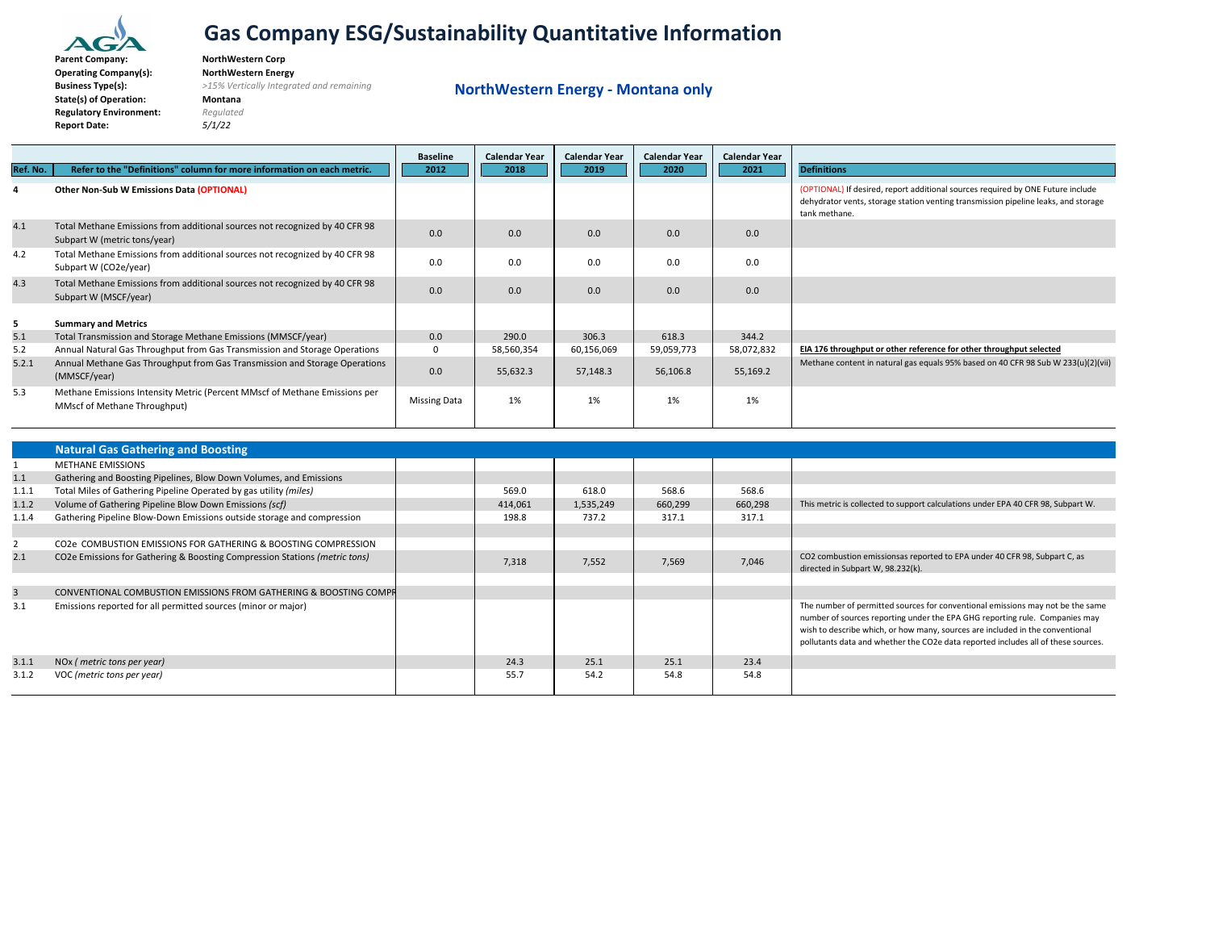

**ParentBusinessState(s) of Operation: Montana Regulatory Environment:** *Regulated* **Report Date:** *5/1/22*

 **Company: NorthWestern Corp Operating Company(s): NorthWestern Energy Type(s):** *>15% Vertically Integrated and remaining*

**NorthWestern Energy ‐ Montana only**

|          |                                                                                                             | <b>Baseline</b>     | <b>Calendar Year</b> | <b>Calendar Year</b> | <b>Calendar Year</b> | <b>Calendar Year</b> |                                                                                                                                                                                        |
|----------|-------------------------------------------------------------------------------------------------------------|---------------------|----------------------|----------------------|----------------------|----------------------|----------------------------------------------------------------------------------------------------------------------------------------------------------------------------------------|
| Ref. No. | Refer to the "Definitions" column for more information on each metric.                                      | 2012                | 2018                 | 2019                 | 2020                 | 2021                 | <b>Definitions</b>                                                                                                                                                                     |
|          | Other Non-Sub W Emissions Data (OPTIONAL)                                                                   |                     |                      |                      |                      |                      | (OPTIONAL) If desired, report additional sources required by ONE Future include<br>dehydrator vents, storage station venting transmission pipeline leaks, and storage<br>tank methane. |
| 4.1      | Total Methane Emissions from additional sources not recognized by 40 CFR 98<br>Subpart W (metric tons/year) | 0.0                 | 0.0                  | 0.0                  | 0.0                  | 0.0                  |                                                                                                                                                                                        |
| 4.2      | Total Methane Emissions from additional sources not recognized by 40 CFR 98<br>Subpart W (CO2e/year)        | 0.0                 | 0.0                  | 0.0                  | 0.0                  | 0.0                  |                                                                                                                                                                                        |
| 4.3      | Total Methane Emissions from additional sources not recognized by 40 CFR 98<br>Subpart W (MSCF/year)        | 0.0                 | 0.0                  | 0.0                  | 0.0                  | 0.0                  |                                                                                                                                                                                        |
| 5        | <b>Summary and Metrics</b>                                                                                  |                     |                      |                      |                      |                      |                                                                                                                                                                                        |
| 5.1      | Total Transmission and Storage Methane Emissions (MMSCF/year)                                               | 0.0                 | 290.0                | 306.3                | 618.3                | 344.2                |                                                                                                                                                                                        |
| 5.2      | Annual Natural Gas Throughput from Gas Transmission and Storage Operations                                  | $\Omega$            | 58,560,354           | 60,156,069           | 59,059,773           | 58,072,832           | EIA 176 throughput or other reference for other throughput selected                                                                                                                    |
| 5.2.1    | Annual Methane Gas Throughput from Gas Transmission and Storage Operations<br>(MMSCF/year)                  | 0.0                 | 55,632.3             | 57,148.3             | 56,106.8             | 55,169.2             | Methane content in natural gas equals 95% based on 40 CFR 98 Sub W 233(u)(2)(vii)                                                                                                      |
| 5.3      | Methane Emissions Intensity Metric (Percent MMscf of Methane Emissions per<br>MMscf of Methane Throughput)  | <b>Missing Data</b> | 1%                   | 1%                   | 1%                   | 1%                   |                                                                                                                                                                                        |

|                | <b>Natural Gas Gathering and Boosting</b>                                  |         |           |         |         |                                                                                                                                                                                                                                                                                                                                     |
|----------------|----------------------------------------------------------------------------|---------|-----------|---------|---------|-------------------------------------------------------------------------------------------------------------------------------------------------------------------------------------------------------------------------------------------------------------------------------------------------------------------------------------|
|                | <b>METHANE EMISSIONS</b>                                                   |         |           |         |         |                                                                                                                                                                                                                                                                                                                                     |
| 1.1            | Gathering and Boosting Pipelines, Blow Down Volumes, and Emissions         |         |           |         |         |                                                                                                                                                                                                                                                                                                                                     |
| 1.1.1          | Total Miles of Gathering Pipeline Operated by gas utility (miles)          | 569.0   | 618.0     | 568.6   | 568.6   |                                                                                                                                                                                                                                                                                                                                     |
| 1.1.2          | Volume of Gathering Pipeline Blow Down Emissions (scf)                     | 414,061 | 1,535,249 | 660,299 | 660,298 | This metric is collected to support calculations under EPA 40 CFR 98, Subpart W.                                                                                                                                                                                                                                                    |
| 1.1.4          | Gathering Pipeline Blow-Down Emissions outside storage and compression     | 198.8   | 737.2     | 317.1   | 317.1   |                                                                                                                                                                                                                                                                                                                                     |
|                |                                                                            |         |           |         |         |                                                                                                                                                                                                                                                                                                                                     |
|                | CO2e COMBUSTION EMISSIONS FOR GATHERING & BOOSTING COMPRESSION             |         |           |         |         |                                                                                                                                                                                                                                                                                                                                     |
| 2.1            | CO2e Emissions for Gathering & Boosting Compression Stations (metric tons) | 7,318   | 7,552     | 7,569   | 7,046   | CO2 combustion emissionsas reported to EPA under 40 CFR 98, Subpart C, as<br>directed in Subpart W. 98.232(k).                                                                                                                                                                                                                      |
|                |                                                                            |         |           |         |         |                                                                                                                                                                                                                                                                                                                                     |
| $\overline{3}$ | CONVENTIONAL COMBUSTION EMISSIONS FROM GATHERING & BOOSTING COMPR          |         |           |         |         |                                                                                                                                                                                                                                                                                                                                     |
| 3.1            | Emissions reported for all permitted sources (minor or major)              |         |           |         |         | The number of permitted sources for conventional emissions may not be the same<br>number of sources reporting under the EPA GHG reporting rule. Companies may<br>wish to describe which, or how many, sources are included in the conventional<br>pollutants data and whether the CO2e data reported includes all of these sources. |
| 3.1.1          | NOx ( <i>metric tons per year</i> )                                        | 24.3    | 25.1      | 25.1    | 23.4    |                                                                                                                                                                                                                                                                                                                                     |
| 3.1.2          | VOC (metric tons per year)                                                 | 55.7    | 54.2      | 54.8    | 54.8    |                                                                                                                                                                                                                                                                                                                                     |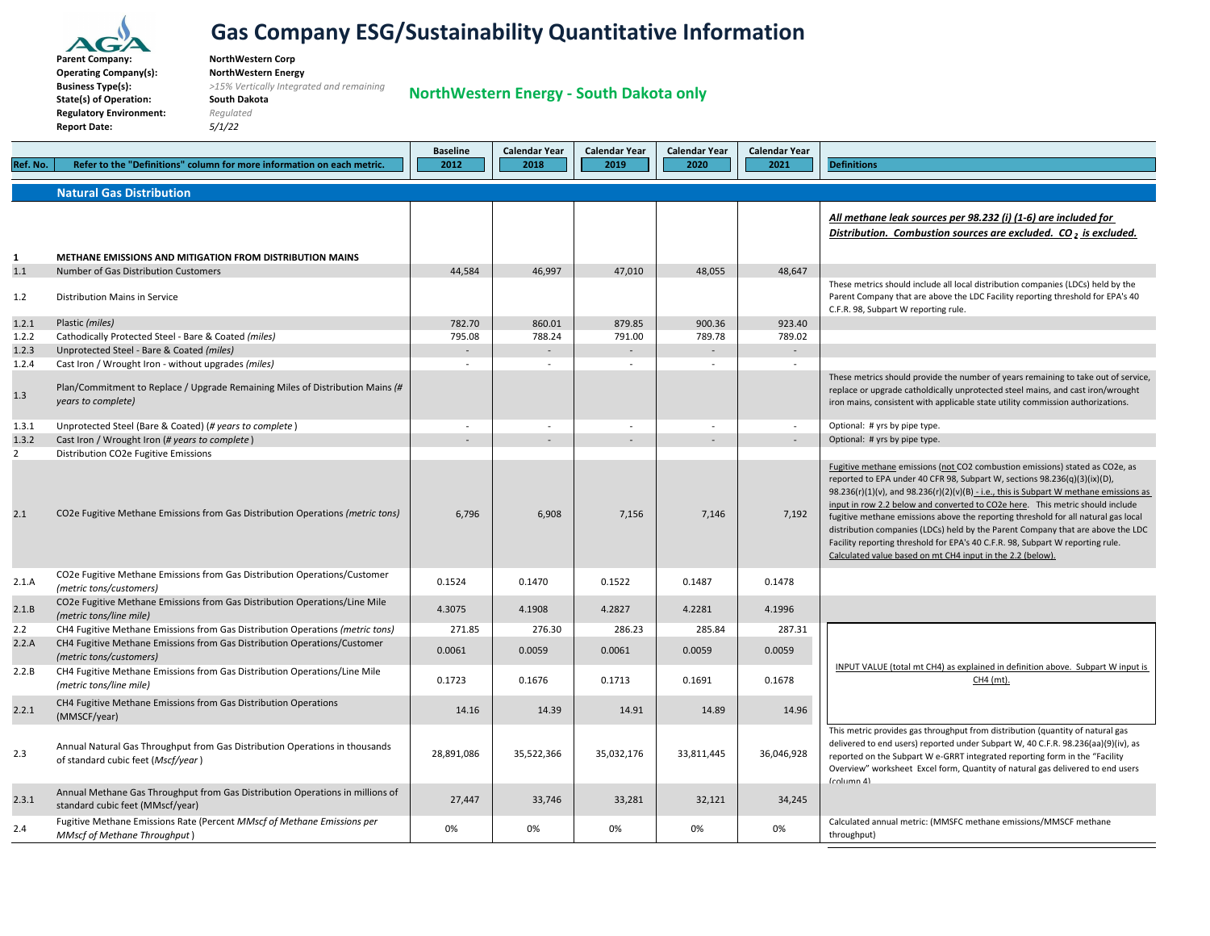

**ParentBusinessState(s) of Operation: South Dakota Regulatory Environment:** *Regulated* **Report Date:** *5/1/22*

 **Company: NorthWestern Corp Operating Company(s): NorthWestern Energy Type(s):** *>15% Vertically Integrated and remaining*

**NorthWestern Energy ‐ South Dakota only**

|                |                                                                                                                   | <b>Baseline</b>          | Calendar Year            | Calendar Year            | <b>Calendar Year</b>     | Calendar Year |                                                                                                                                                                                                                                                                                                                                                                                                                                                                                                                                                                                                                                                               |
|----------------|-------------------------------------------------------------------------------------------------------------------|--------------------------|--------------------------|--------------------------|--------------------------|---------------|---------------------------------------------------------------------------------------------------------------------------------------------------------------------------------------------------------------------------------------------------------------------------------------------------------------------------------------------------------------------------------------------------------------------------------------------------------------------------------------------------------------------------------------------------------------------------------------------------------------------------------------------------------------|
| Ref. No.       | Refer to the "Definitions" column for more information on each metric.                                            | 2012                     | 2018                     | 2019                     | 2020                     | 2021          | <b>Definitions</b>                                                                                                                                                                                                                                                                                                                                                                                                                                                                                                                                                                                                                                            |
|                | <b>Natural Gas Distribution</b>                                                                                   |                          |                          |                          |                          |               |                                                                                                                                                                                                                                                                                                                                                                                                                                                                                                                                                                                                                                                               |
|                |                                                                                                                   |                          |                          |                          |                          |               | All methane leak sources per 98.232 (i) (1-6) are included for<br>Distribution. Combustion sources are excluded. CO, is excluded.                                                                                                                                                                                                                                                                                                                                                                                                                                                                                                                             |
| 1              | METHANE EMISSIONS AND MITIGATION FROM DISTRIBUTION MAINS                                                          |                          |                          |                          |                          |               |                                                                                                                                                                                                                                                                                                                                                                                                                                                                                                                                                                                                                                                               |
| 1.1            | Number of Gas Distribution Customers                                                                              | 44,584                   | 46.997                   | 47,010                   | 48,055                   | 48,647        |                                                                                                                                                                                                                                                                                                                                                                                                                                                                                                                                                                                                                                                               |
| $1.2\,$        | Distribution Mains in Service                                                                                     |                          |                          |                          |                          |               | These metrics should include all local distribution companies (LDCs) held by the<br>Parent Company that are above the LDC Facility reporting threshold for EPA's 40<br>C.F.R. 98, Subpart W reporting rule.                                                                                                                                                                                                                                                                                                                                                                                                                                                   |
| 1.2.1          | Plastic (miles)                                                                                                   | 782.70                   | 860.01                   | 879.85                   | 900.36                   | 923.40        |                                                                                                                                                                                                                                                                                                                                                                                                                                                                                                                                                                                                                                                               |
| 1.2.2          | Cathodically Protected Steel - Bare & Coated (miles)                                                              | 795.08                   | 788.24                   | 791.00                   | 789.78                   | 789.02        |                                                                                                                                                                                                                                                                                                                                                                                                                                                                                                                                                                                                                                                               |
| 1.2.3          | Unprotected Steel - Bare & Coated (miles)                                                                         |                          | $\overline{\phantom{a}}$ |                          | $\overline{\phantom{a}}$ | $\sim$        |                                                                                                                                                                                                                                                                                                                                                                                                                                                                                                                                                                                                                                                               |
| 1.2.4          | Cast Iron / Wrought Iron - without upgrades (miles)                                                               | $\sim$                   | $\sim$                   | $\sim$                   | $\overline{a}$           |               |                                                                                                                                                                                                                                                                                                                                                                                                                                                                                                                                                                                                                                                               |
| 1.3            | Plan/Commitment to Replace / Upgrade Remaining Miles of Distribution Mains (#<br>years to complete)               |                          |                          |                          |                          |               | These metrics should provide the number of years remaining to take out of service,<br>replace or upgrade catholdically unprotected steel mains, and cast iron/wrought<br>iron mains, consistent with applicable state utility commission authorizations.                                                                                                                                                                                                                                                                                                                                                                                                      |
| 1.3.1          | Unprotected Steel (Bare & Coated) (# years to complete)                                                           | $\overline{\phantom{a}}$ |                          | $\overline{\phantom{a}}$ |                          | $\sim$        | Optional: # yrs by pipe type.                                                                                                                                                                                                                                                                                                                                                                                                                                                                                                                                                                                                                                 |
| 1.3.2          | Cast Iron / Wrought Iron (# years to complete)                                                                    |                          |                          |                          |                          |               | Optional: # yrs by pipe type.                                                                                                                                                                                                                                                                                                                                                                                                                                                                                                                                                                                                                                 |
| $\overline{2}$ | Distribution CO2e Fugitive Emissions                                                                              |                          |                          |                          |                          |               |                                                                                                                                                                                                                                                                                                                                                                                                                                                                                                                                                                                                                                                               |
| 2.1            | CO2e Fugitive Methane Emissions from Gas Distribution Operations (metric tons)                                    | 6,796                    | 6,908                    | 7,156                    | 7.146                    | 7,192         | Fugitive methane emissions (not CO2 combustion emissions) stated as CO2e, as<br>reported to EPA under 40 CFR 98, Subpart W, sections 98.236(q)(3)(ix)(D),<br>98.236(r)(1)(v), and 98.236(r)(2)(v)(B) - i.e., this is Subpart W methane emissions as<br>input in row 2.2 below and converted to CO2e here. This metric should include<br>fugitive methane emissions above the reporting threshold for all natural gas local<br>distribution companies (LDCs) held by the Parent Company that are above the LDC<br>Facility reporting threshold for EPA's 40 C.F.R. 98, Subpart W reporting rule.<br>Calculated value based on mt CH4 input in the 2.2 (below). |
| 2.1.A          | CO2e Fugitive Methane Emissions from Gas Distribution Operations/Customer<br>(metric tons/customers)              | 0.1524                   | 0.1470                   | 0.1522                   | 0.1487                   | 0.1478        |                                                                                                                                                                                                                                                                                                                                                                                                                                                                                                                                                                                                                                                               |
| 2.1.B          | CO2e Fugitive Methane Emissions from Gas Distribution Operations/Line Mile<br>(metric tons/line mile)             | 4.3075                   | 4.1908                   | 4.2827                   | 4.2281                   | 4.1996        |                                                                                                                                                                                                                                                                                                                                                                                                                                                                                                                                                                                                                                                               |
| $2.2\,$        | CH4 Fugitive Methane Emissions from Gas Distribution Operations (metric tons)                                     | 271.85                   | 276.30                   | 286.23                   | 285.84                   | 287.31        |                                                                                                                                                                                                                                                                                                                                                                                                                                                                                                                                                                                                                                                               |
| 2.2.A          | CH4 Fugitive Methane Emissions from Gas Distribution Operations/Customer<br>(metric tons/customers)               | 0.0061                   | 0.0059                   | 0.0061                   | 0.0059                   | 0.0059        |                                                                                                                                                                                                                                                                                                                                                                                                                                                                                                                                                                                                                                                               |
| 2.2.B          | CH4 Fugitive Methane Emissions from Gas Distribution Operations/Line Mile<br>(metric tons/line mile)              | 0.1723                   | 0.1676                   | 0.1713                   | 0.1691                   | 0.1678        | INPUT VALUE (total mt CH4) as explained in definition above. Subpart W input is<br>$CH4$ (mt)                                                                                                                                                                                                                                                                                                                                                                                                                                                                                                                                                                 |
| 2.2.1          | CH4 Fugitive Methane Emissions from Gas Distribution Operations<br>(MMSCF/year)                                   | 14.16                    | 14.39                    | 14.91                    | 14.89                    | 14.96         |                                                                                                                                                                                                                                                                                                                                                                                                                                                                                                                                                                                                                                                               |
| 2.3            | Annual Natural Gas Throughput from Gas Distribution Operations in thousands<br>of standard cubic feet (Mscf/year) | 28,891,086               | 35,522,366               | 35,032,176               | 33,811,445               | 36,046,928    | This metric provides gas throughput from distribution (quantity of natural gas<br>delivered to end users) reported under Subpart W, 40 C.F.R. 98.236(aa)(9)(iv), as<br>reported on the Subpart W e-GRRT integrated reporting form in the "Facility<br>Overview" worksheet Excel form, Quantity of natural gas delivered to end users<br>(column 4)                                                                                                                                                                                                                                                                                                            |
| 2.3.1          | Annual Methane Gas Throughput from Gas Distribution Operations in millions of<br>standard cubic feet (MMscf/year) | 27,447                   | 33,746                   | 33,281                   | 32,121                   | 34,245        |                                                                                                                                                                                                                                                                                                                                                                                                                                                                                                                                                                                                                                                               |
| 2.4            | Fugitive Methane Emissions Rate (Percent MMscf of Methane Emissions per<br>MMscf of Methane Throughput)           | 0%                       | 0%                       | 0%                       | 0%                       | 0%            | Calculated annual metric: (MMSFC methane emissions/MMSCF methane<br>throughput)                                                                                                                                                                                                                                                                                                                                                                                                                                                                                                                                                                               |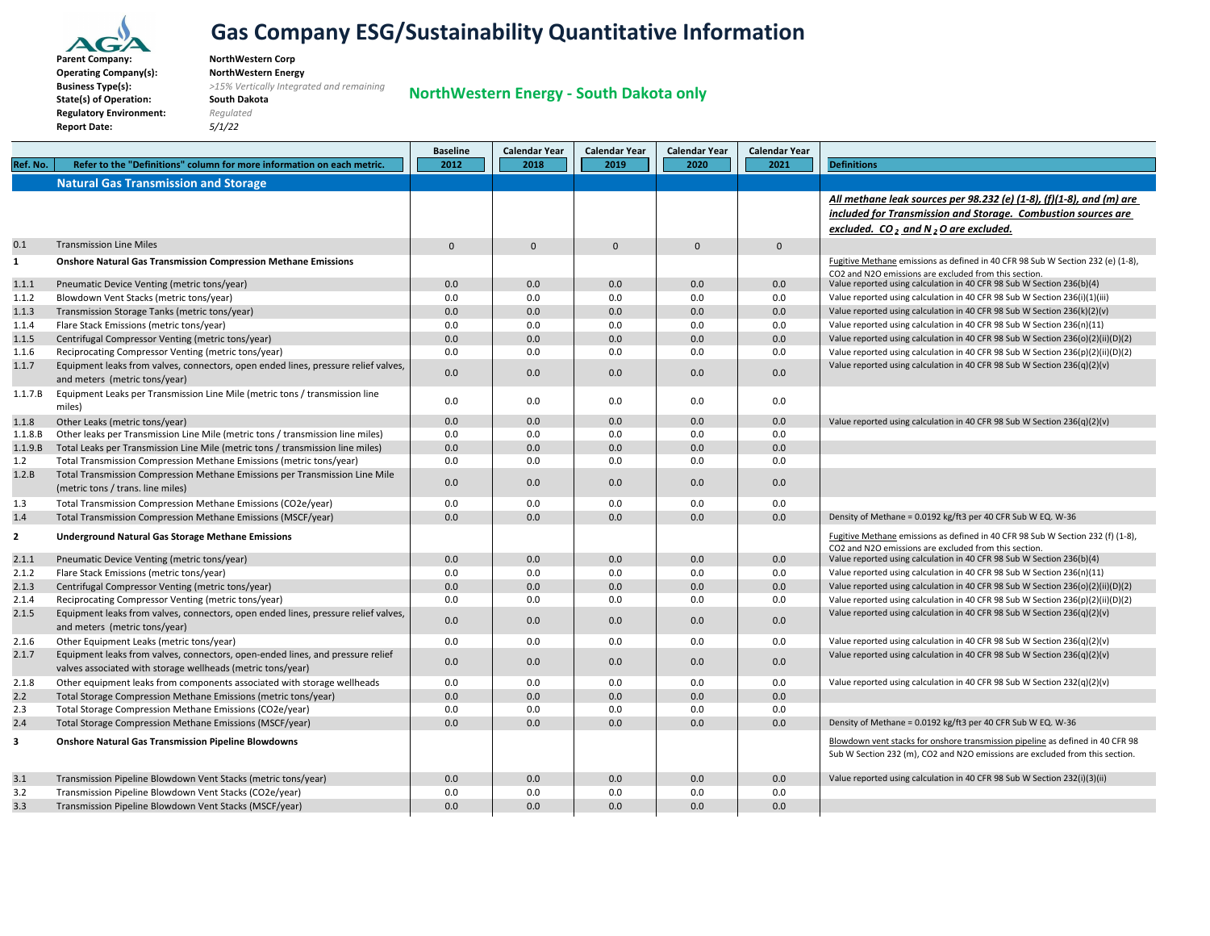

**Parent** $Operating Company(s):$ **BusinessState(s) of Operation: South Dakota Regulatory Environment:** *Regulated* **Report Date:** *5/1/22*

**NorthWestern Corp<br>NorthWestern Energy Type(s):** *>15% Vertically Integrated and remaining*

**NorthWestern Energy ‐ South Dakota only**

|                         |                                                                                    | <b>Baseline</b> | <b>Calendar Year</b> | <b>Calendar Year</b> | <b>Calendar Year</b> | <b>Calendar Year</b> |                                                                                                                                                                |
|-------------------------|------------------------------------------------------------------------------------|-----------------|----------------------|----------------------|----------------------|----------------------|----------------------------------------------------------------------------------------------------------------------------------------------------------------|
| Ref. No.                | Refer to the "Definitions" column for more information on each metric.             | 2012            | 2018                 | 2019                 | 2020                 | 2021                 | <b>Definitions</b>                                                                                                                                             |
|                         | <b>Natural Gas Transmission and Storage</b>                                        |                 |                      |                      |                      |                      |                                                                                                                                                                |
|                         |                                                                                    |                 |                      |                      |                      |                      | All methane leak sources per 98.232 (e) (1-8), (f)(1-8), and (m) are                                                                                           |
|                         |                                                                                    |                 |                      |                      |                      |                      | included for Transmission and Storage. Combustion sources are                                                                                                  |
|                         |                                                                                    |                 |                      |                      |                      |                      | excluded. CO, and N, O are excluded.                                                                                                                           |
| 0.1                     | <b>Transmission Line Miles</b>                                                     | $\mathbf{0}$    | $\mathbf{0}$         | $\Omega$             | $\mathbf{0}$         | $\mathbf{0}$         |                                                                                                                                                                |
| $\mathbf{1}$            | <b>Onshore Natural Gas Transmission Compression Methane Emissions</b>              |                 |                      |                      |                      |                      | Fugitive Methane emissions as defined in 40 CFR 98 Sub W Section 232 (e) (1-8),                                                                                |
|                         |                                                                                    |                 |                      |                      |                      |                      | CO2 and N2O emissions are excluded from this section.                                                                                                          |
| 1.1.1                   | Pneumatic Device Venting (metric tons/year)                                        | 0.0             | 0.0                  | 0.0                  | 0.0                  | 0.0                  | Value reported using calculation in 40 CFR 98 Sub W Section 236(b)(4)                                                                                          |
| 1.1.2                   | Blowdown Vent Stacks (metric tons/year)                                            | 0.0             | 0.0                  | 0.0                  | 0.0                  | 0.0                  | Value reported using calculation in 40 CFR 98 Sub W Section 236(i)(1)(iii)                                                                                     |
| 1.1.3                   | Transmission Storage Tanks (metric tons/year)                                      | 0.0             | 0.0                  | 0.0                  | 0.0                  | 0.0                  | Value reported using calculation in 40 CFR 98 Sub W Section 236(k)(2)(v)                                                                                       |
| 1.1.4                   | Flare Stack Emissions (metric tons/year)                                           | 0.0             | 0.0                  | 0.0                  | 0.0                  | 0.0                  | Value reported using calculation in 40 CFR 98 Sub W Section 236(n)(11)                                                                                         |
| 1.1.5                   | Centrifugal Compressor Venting (metric tons/year)                                  | 0.0             | 0.0                  | 0.0                  | 0.0                  | 0.0                  | Value reported using calculation in 40 CFR 98 Sub W Section 236(o)(2)(ii)(D)(2)                                                                                |
| 1.1.6                   | Reciprocating Compressor Venting (metric tons/year)                                | 0.0             | 0.0                  | 0.0                  | 0.0                  | 0.0                  | Value reported using calculation in 40 CFR 98 Sub W Section 236(p)(2)(ii)(D)(2)                                                                                |
| 1.1.7                   | Equipment leaks from valves, connectors, open ended lines, pressure relief valves, | 0.0             | 0.0                  | 0.0                  | 0.0                  | 0.0                  | Value reported using calculation in 40 CFR 98 Sub W Section 236(q)(2)(v)                                                                                       |
|                         | and meters (metric tons/year)                                                      |                 |                      |                      |                      |                      |                                                                                                                                                                |
| 1.1.7.B                 | Equipment Leaks per Transmission Line Mile (metric tons / transmission line        | 0.0             | 0.0                  | 0.0                  | 0.0                  | 0.0                  |                                                                                                                                                                |
|                         | miles)                                                                             |                 |                      |                      |                      |                      |                                                                                                                                                                |
| 1.1.8                   | Other Leaks (metric tons/year)                                                     | 0.0             | 0.0                  | 0.0                  | 0.0                  | 0.0                  | Value reported using calculation in 40 CFR 98 Sub W Section 236(q)(2)(v)                                                                                       |
| 1.1.8.B                 | Other leaks per Transmission Line Mile (metric tons / transmission line miles)     | 0.0             | 0.0                  | 0.0                  | 0.0                  | 0.0                  |                                                                                                                                                                |
| 1.1.9.B                 | Total Leaks per Transmission Line Mile (metric tons / transmission line miles)     | 0.0             | 0.0                  | 0.0                  | 0.0                  | 0.0                  |                                                                                                                                                                |
| 1.2                     | Total Transmission Compression Methane Emissions (metric tons/year)                | 0.0             | 0.0                  | 0.0                  | 0.0                  | 0.0                  |                                                                                                                                                                |
| 1.2.B                   | Total Transmission Compression Methane Emissions per Transmission Line Mile        | 0.0             | 0.0                  | 0.0                  | 0.0                  | 0.0                  |                                                                                                                                                                |
|                         | (metric tons / trans. line miles)                                                  |                 |                      |                      |                      |                      |                                                                                                                                                                |
| 1.3                     | Total Transmission Compression Methane Emissions (CO2e/year)                       | 0.0             | 0.0                  | 0.0                  | 0.0                  | 0.0                  |                                                                                                                                                                |
| 1.4                     | Total Transmission Compression Methane Emissions (MSCF/year)                       | 0.0             | 0.0                  | 0.0                  | 0.0                  | 0.0                  | Density of Methane = 0.0192 kg/ft3 per 40 CFR Sub W EQ. W-36                                                                                                   |
| $\overline{2}$          | <b>Underground Natural Gas Storage Methane Emissions</b>                           |                 |                      |                      |                      |                      | Fugitive Methane emissions as defined in 40 CFR 98 Sub W Section 232 (f) (1-8),                                                                                |
|                         |                                                                                    |                 |                      |                      |                      |                      | CO2 and N2O emissions are excluded from this section.                                                                                                          |
| 2.1.1                   | Pneumatic Device Venting (metric tons/year)                                        | 0.0             | 0.0                  | 0.0                  | 0.0                  | 0.0                  | Value reported using calculation in 40 CFR 98 Sub W Section 236(b)(4)                                                                                          |
| 2.1.2                   | Flare Stack Emissions (metric tons/year)                                           | 0.0             | 0.0                  | 0.0                  | 0.0                  | 0.0                  | Value reported using calculation in 40 CFR 98 Sub W Section 236(n)(11)                                                                                         |
| 2.1.3                   | Centrifugal Compressor Venting (metric tons/year)                                  | 0.0             | 0.0                  | 0.0                  | 0.0                  | 0.0                  | Value reported using calculation in 40 CFR 98 Sub W Section 236(o)(2)(ii)(D)(2)                                                                                |
| 2.1.4                   | Reciprocating Compressor Venting (metric tons/year)                                | 0.0             | 0.0                  | 0.0                  | 0.0                  | 0.0                  | Value reported using calculation in 40 CFR 98 Sub W Section 236(p)(2)(ii)(D)(2)                                                                                |
| 2.1.5                   | Equipment leaks from valves, connectors, open ended lines, pressure relief valves, | 0.0             | 0.0                  | 0.0                  | 0.0                  | 0.0                  | Value reported using calculation in 40 CFR 98 Sub W Section 236(q)(2)(v)                                                                                       |
|                         | and meters (metric tons/year)                                                      |                 |                      |                      |                      |                      |                                                                                                                                                                |
| 2.1.6                   | Other Equipment Leaks (metric tons/year)                                           | 0.0             | 0.0                  | 0.0                  | 0.0                  | 0.0                  | Value reported using calculation in 40 CFR 98 Sub W Section 236(q)(2)(v)                                                                                       |
| 2.1.7                   | Equipment leaks from valves, connectors, open-ended lines, and pressure relief     | 0.0             | 0.0                  | 0.0                  | 0.0                  | 0.0                  | Value reported using calculation in 40 CFR 98 Sub W Section 236(q)(2)(v)                                                                                       |
|                         | valves associated with storage wellheads (metric tons/year)                        |                 |                      |                      |                      |                      |                                                                                                                                                                |
| 2.1.8                   | Other equipment leaks from components associated with storage wellheads            | 0.0             | 0.0                  | 0.0                  | 0.0                  | 0.0                  | Value reported using calculation in 40 CFR 98 Sub W Section 232(q)(2)(v)                                                                                       |
| 2.2                     | Total Storage Compression Methane Emissions (metric tons/year)                     | 0.0             | 0.0                  | 0.0                  | 0.0                  | 0.0                  |                                                                                                                                                                |
| 2.3                     | Total Storage Compression Methane Emissions (CO2e/year)                            | 0.0             | 0.0                  | 0.0                  | 0.0                  | 0.0                  |                                                                                                                                                                |
| 2.4                     | Total Storage Compression Methane Emissions (MSCF/year)                            | 0.0             | 0.0                  | 0.0                  | 0.0                  | 0.0                  | Density of Methane = 0.0192 kg/ft3 per 40 CFR Sub W EQ. W-36                                                                                                   |
| $\overline{\mathbf{3}}$ | <b>Onshore Natural Gas Transmission Pipeline Blowdowns</b>                         |                 |                      |                      |                      |                      | Blowdown vent stacks for onshore transmission pipeline as defined in 40 CFR 98<br>Sub W Section 232 (m), CO2 and N2O emissions are excluded from this section. |
|                         |                                                                                    |                 |                      |                      |                      |                      |                                                                                                                                                                |
| 3.1                     | Transmission Pipeline Blowdown Vent Stacks (metric tons/year)                      | 0.0             | 0.0                  | 0.0                  | 0.0                  | 0.0                  | Value reported using calculation in 40 CFR 98 Sub W Section 232(i)(3)(ii)                                                                                      |
| 3.2                     | Transmission Pipeline Blowdown Vent Stacks (CO2e/year)                             | 0.0             | 0.0                  | 0.0                  | 0.0                  | 0.0                  |                                                                                                                                                                |
| 3.3                     | Transmission Pipeline Blowdown Vent Stacks (MSCF/year)                             | 0.0             | 0.0                  | 0.0                  | 0.0                  | 0.0                  |                                                                                                                                                                |
|                         |                                                                                    |                 |                      |                      |                      |                      |                                                                                                                                                                |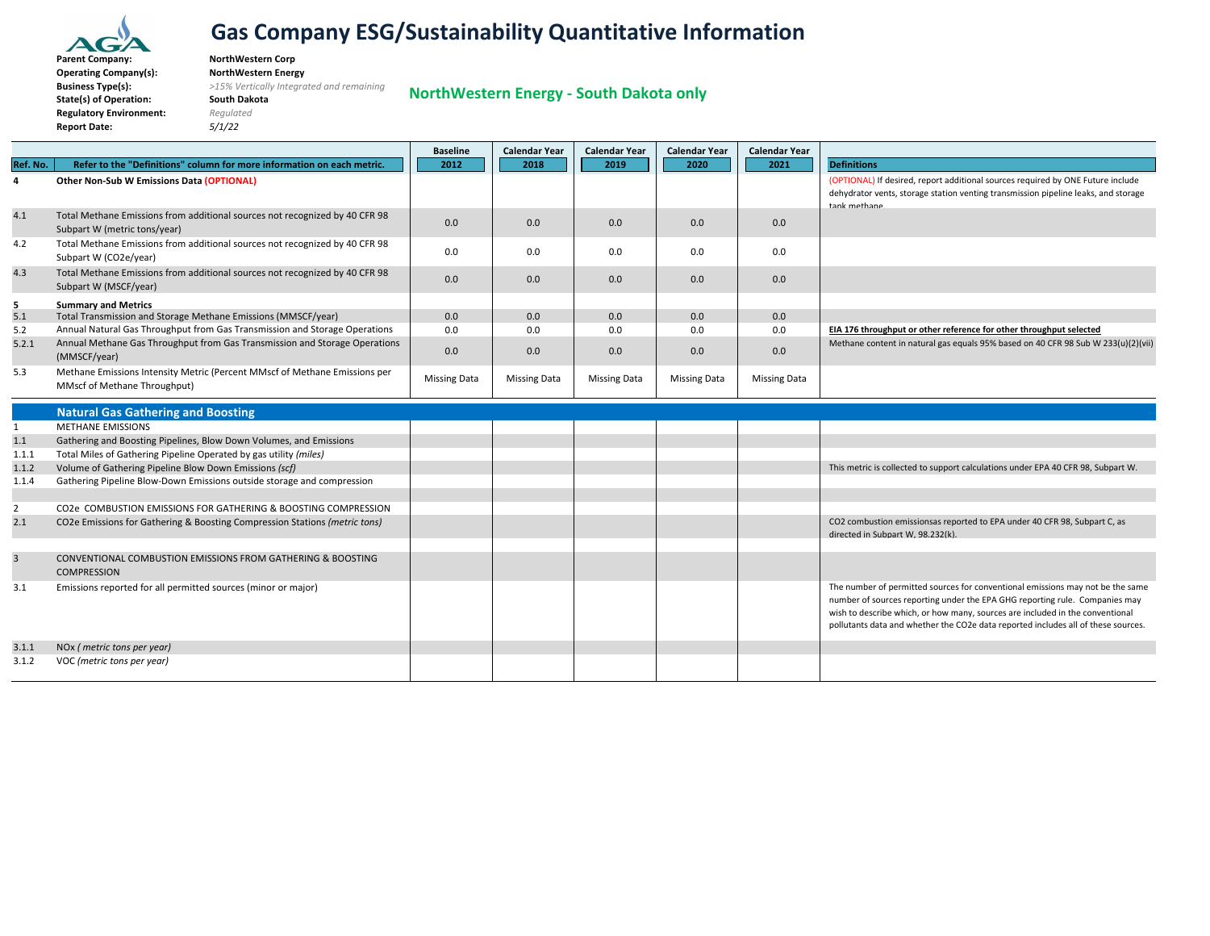

**ParentBusinessState(s) of Operation: South Dakota Regulatory Environment:** *Regulated* **Report Date:** *5/1/22*

 **Company: NorthWestern Corp Operating Company(s): NorthWestern Energy Type(s):** *>15% Vertically Integrated and remaining*

**NorthWestern Energy ‐ South Dakota only**

|                |                                                                                                             | <b>Baseline</b>     | <b>Calendar Year</b> | <b>Calendar Year</b> | <b>Calendar Year</b> | <b>Calendar Year</b> |                                                                                                                                                                                                                                                                                                                                     |
|----------------|-------------------------------------------------------------------------------------------------------------|---------------------|----------------------|----------------------|----------------------|----------------------|-------------------------------------------------------------------------------------------------------------------------------------------------------------------------------------------------------------------------------------------------------------------------------------------------------------------------------------|
| Ref. No.       | Refer to the "Definitions" column for more information on each metric.                                      | 2012                | 2018                 | 2019                 | 2020                 | 2021                 | <b>Definitions</b>                                                                                                                                                                                                                                                                                                                  |
| $\overline{a}$ | Other Non-Sub W Emissions Data (OPTIONAL)                                                                   |                     |                      |                      |                      |                      | (OPTIONAL) If desired, report additional sources required by ONE Future include<br>dehydrator vents, storage station venting transmission pipeline leaks, and storage<br>tank methane.                                                                                                                                              |
| 4.1            | Total Methane Emissions from additional sources not recognized by 40 CFR 98<br>Subpart W (metric tons/year) | 0.0                 | 0.0                  | 0.0                  | 0.0                  | 0.0                  |                                                                                                                                                                                                                                                                                                                                     |
| 4.2            | Total Methane Emissions from additional sources not recognized by 40 CFR 98<br>Subpart W (CO2e/year)        | 0.0                 | 0.0                  | 0.0                  | 0.0                  | 0.0                  |                                                                                                                                                                                                                                                                                                                                     |
| 4.3            | Total Methane Emissions from additional sources not recognized by 40 CFR 98<br>Subpart W (MSCF/year)        | 0.0                 | 0.0                  | 0.0                  | 0.0                  | 0.0                  |                                                                                                                                                                                                                                                                                                                                     |
| 5              | <b>Summary and Metrics</b>                                                                                  |                     |                      |                      |                      |                      |                                                                                                                                                                                                                                                                                                                                     |
| 5.1            | Total Transmission and Storage Methane Emissions (MMSCF/year)                                               | 0.0                 | 0.0                  | 0.0                  | 0.0                  | 0.0                  |                                                                                                                                                                                                                                                                                                                                     |
| 5.2            | Annual Natural Gas Throughput from Gas Transmission and Storage Operations                                  | 0.0                 | 0.0                  | 0.0                  | 0.0                  | 0.0                  | EIA 176 throughput or other reference for other throughput selected                                                                                                                                                                                                                                                                 |
| 5.2.1          | Annual Methane Gas Throughput from Gas Transmission and Storage Operations<br>(MMSCF/year)                  | 0.0                 | 0.0                  | 0.0                  | 0.0                  | 0.0                  | Methane content in natural gas equals 95% based on 40 CFR 98 Sub W 233(u)(2)(vii)                                                                                                                                                                                                                                                   |
| 5.3            | Methane Emissions Intensity Metric (Percent MMscf of Methane Emissions per<br>MMscf of Methane Throughput)  | <b>Missing Data</b> | <b>Missing Data</b>  | <b>Missing Data</b>  | <b>Missing Data</b>  | <b>Missing Data</b>  |                                                                                                                                                                                                                                                                                                                                     |
|                | <b>Natural Gas Gathering and Boosting</b>                                                                   |                     |                      |                      |                      |                      |                                                                                                                                                                                                                                                                                                                                     |
| 1              | <b>METHANE EMISSIONS</b>                                                                                    |                     |                      |                      |                      |                      |                                                                                                                                                                                                                                                                                                                                     |
| 1.1            | Gathering and Boosting Pipelines, Blow Down Volumes, and Emissions                                          |                     |                      |                      |                      |                      |                                                                                                                                                                                                                                                                                                                                     |
| 1.1.1          | Total Miles of Gathering Pipeline Operated by gas utility (miles)                                           |                     |                      |                      |                      |                      |                                                                                                                                                                                                                                                                                                                                     |
| 1.1.2          | Volume of Gathering Pipeline Blow Down Emissions (scf)                                                      |                     |                      |                      |                      |                      | This metric is collected to support calculations under EPA 40 CFR 98, Subpart W.                                                                                                                                                                                                                                                    |
| 1.1.4          | Gathering Pipeline Blow-Down Emissions outside storage and compression                                      |                     |                      |                      |                      |                      |                                                                                                                                                                                                                                                                                                                                     |
| $\overline{2}$ | CO2e COMBUSTION EMISSIONS FOR GATHERING & BOOSTING COMPRESSION                                              |                     |                      |                      |                      |                      |                                                                                                                                                                                                                                                                                                                                     |
| 2.1            | CO2e Emissions for Gathering & Boosting Compression Stations (metric tons)                                  |                     |                      |                      |                      |                      | CO2 combustion emissionsas reported to EPA under 40 CFR 98, Subpart C, as                                                                                                                                                                                                                                                           |
|                |                                                                                                             |                     |                      |                      |                      |                      | directed in Subpart W, 98.232(k).                                                                                                                                                                                                                                                                                                   |
| $\overline{3}$ | CONVENTIONAL COMBUSTION EMISSIONS FROM GATHERING & BOOSTING<br><b>COMPRESSION</b>                           |                     |                      |                      |                      |                      |                                                                                                                                                                                                                                                                                                                                     |
| 3.1            | Emissions reported for all permitted sources (minor or major)                                               |                     |                      |                      |                      |                      | The number of permitted sources for conventional emissions may not be the same<br>number of sources reporting under the EPA GHG reporting rule. Companies may<br>wish to describe which, or how many, sources are included in the conventional<br>pollutants data and whether the CO2e data reported includes all of these sources. |
| 3.1.1          | NOx (metric tons per year)                                                                                  |                     |                      |                      |                      |                      |                                                                                                                                                                                                                                                                                                                                     |
| 3.1.2          | VOC (metric tons per year)                                                                                  |                     |                      |                      |                      |                      |                                                                                                                                                                                                                                                                                                                                     |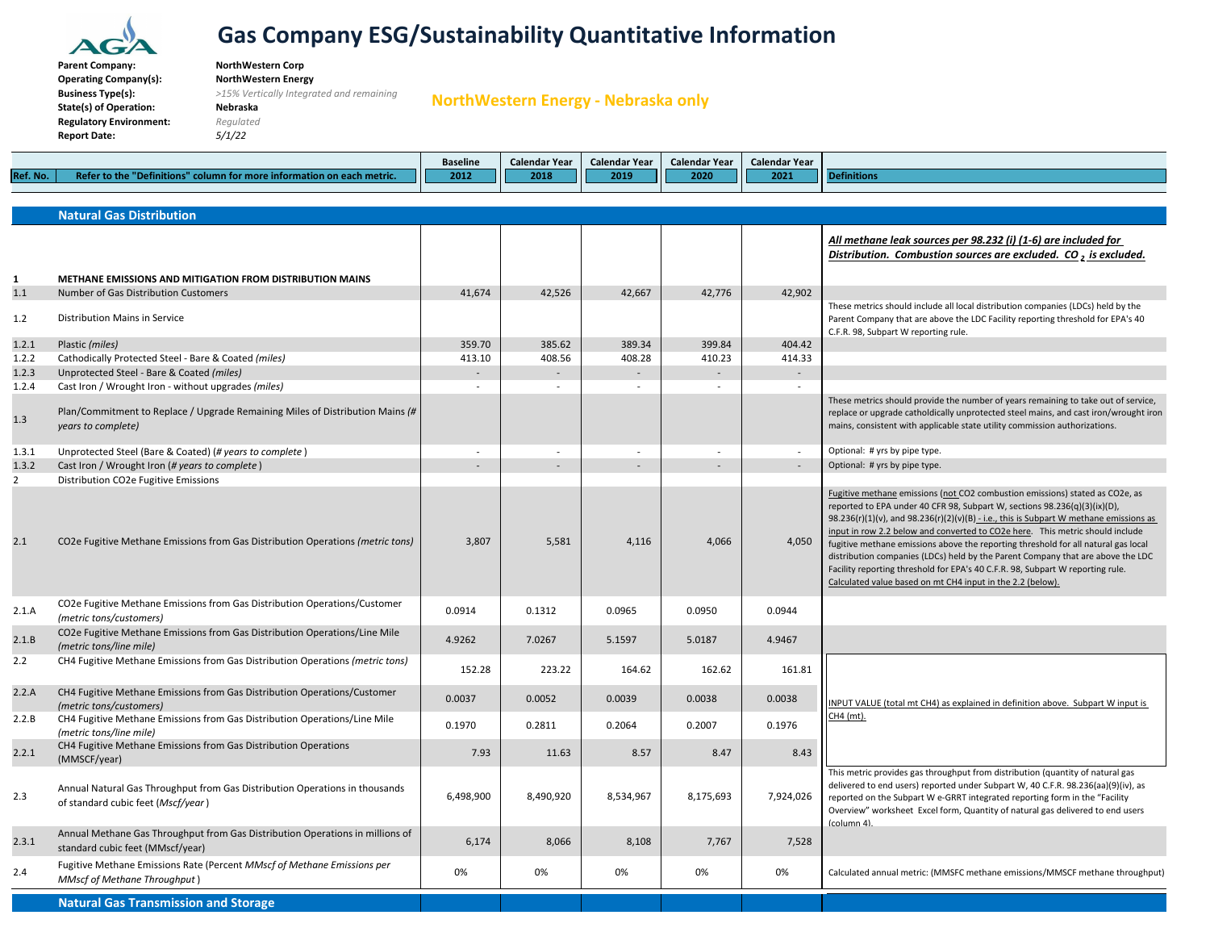

**Business**

# **Gas Company ESG/Sustainability Quantitative Information**

 **Company: NorthWestern Corp Operating Company(s): NorthWestern Energy**

**Type(s):** *>15% Vertically Integrated and remaining*

**State(s) of Operation: Nebraska Regulatory Environment:** *Regulated* **Report Date:** *5/1/22*

**NorthWestern Energy ‐ Nebraska only**

|          |                                                      | <b>Baseline</b> | <b>Calendar Year</b> | Calendar Year | Calendar Year | <b>Calendar Year</b> |       |
|----------|------------------------------------------------------|-----------------|----------------------|---------------|---------------|----------------------|-------|
| Ref. No. | column for more information on each metric.<br>m the | 2012            | Ш<br>2018            | 2019          | 2020<br>Ш     | Ш<br>2021            | 4 I I |
|          |                                                      |                 |                      |               |               |                      |       |

|                | <b>Natural Gas Distribution</b>                                                                                   |           |                          |                          |           |                          |                                                                                                                                                                                                                                                                                                                                                                                                                                                                                                                                                                                                                                                               |
|----------------|-------------------------------------------------------------------------------------------------------------------|-----------|--------------------------|--------------------------|-----------|--------------------------|---------------------------------------------------------------------------------------------------------------------------------------------------------------------------------------------------------------------------------------------------------------------------------------------------------------------------------------------------------------------------------------------------------------------------------------------------------------------------------------------------------------------------------------------------------------------------------------------------------------------------------------------------------------|
|                |                                                                                                                   |           |                          |                          |           |                          | All methane leak sources per 98.232 (i) (1-6) are included for<br>Distribution. Combustion sources are excluded. $CO2$ is excluded.                                                                                                                                                                                                                                                                                                                                                                                                                                                                                                                           |
| 1              | METHANE EMISSIONS AND MITIGATION FROM DISTRIBUTION MAINS                                                          |           |                          |                          |           |                          |                                                                                                                                                                                                                                                                                                                                                                                                                                                                                                                                                                                                                                                               |
| 1.1<br>1.2     | Number of Gas Distribution Customers<br><b>Distribution Mains in Service</b>                                      | 41,674    | 42,526                   | 42,667                   | 42,776    | 42,902                   | These metrics should include all local distribution companies (LDCs) held by the<br>Parent Company that are above the LDC Facility reporting threshold for EPA's 40<br>C.F.R. 98, Subpart W reporting rule.                                                                                                                                                                                                                                                                                                                                                                                                                                                   |
| 1.2.1          | Plastic (miles)                                                                                                   | 359.70    | 385.62                   | 389.34                   | 399.84    | 404.42                   |                                                                                                                                                                                                                                                                                                                                                                                                                                                                                                                                                                                                                                                               |
| 1.2.2          | Cathodically Protected Steel - Bare & Coated (miles)                                                              | 413.10    | 408.56                   | 408.28                   | 410.23    | 414.33                   |                                                                                                                                                                                                                                                                                                                                                                                                                                                                                                                                                                                                                                                               |
| 1.2.3          | Unprotected Steel - Bare & Coated (miles)                                                                         |           | ÷.                       | $\sim$                   |           | $\overline{a}$           |                                                                                                                                                                                                                                                                                                                                                                                                                                                                                                                                                                                                                                                               |
| 1.2.4          | Cast Iron / Wrought Iron - without upgrades (miles)                                                               |           |                          | $\sim$                   |           | $\sim$                   |                                                                                                                                                                                                                                                                                                                                                                                                                                                                                                                                                                                                                                                               |
| 1.3            | Plan/Commitment to Replace / Upgrade Remaining Miles of Distribution Mains (#<br>years to complete)               |           |                          |                          |           |                          | These metrics should provide the number of years remaining to take out of service,<br>replace or upgrade catholdically unprotected steel mains, and cast iron/wrought iron<br>mains, consistent with applicable state utility commission authorizations.                                                                                                                                                                                                                                                                                                                                                                                                      |
| 1.3.1          | Unprotected Steel (Bare & Coated) (# years to complete)                                                           |           | $\overline{\phantom{a}}$ | $\overline{\phantom{a}}$ |           | $\sim$                   | Optional: # yrs by pipe type.                                                                                                                                                                                                                                                                                                                                                                                                                                                                                                                                                                                                                                 |
| 1.3.2          | Cast Iron / Wrought Iron (# years to complete)                                                                    |           |                          | $\sim$                   |           | $\overline{\phantom{a}}$ | Optional: # yrs by pipe type.                                                                                                                                                                                                                                                                                                                                                                                                                                                                                                                                                                                                                                 |
| $\overline{2}$ | Distribution CO2e Fugitive Emissions                                                                              |           |                          |                          |           |                          |                                                                                                                                                                                                                                                                                                                                                                                                                                                                                                                                                                                                                                                               |
| 2.1            | CO2e Fugitive Methane Emissions from Gas Distribution Operations (metric tons)                                    | 3,807     | 5,581                    | 4,116                    | 4,066     | 4,050                    | Fugitive methane emissions (not CO2 combustion emissions) stated as CO2e, as<br>reported to EPA under 40 CFR 98, Subpart W, sections 98.236(q)(3)(ix)(D),<br>98.236(r)(1)(v), and 98.236(r)(2)(v)(B) - i.e., this is Subpart W methane emissions as<br>input in row 2.2 below and converted to CO2e here. This metric should include<br>fugitive methane emissions above the reporting threshold for all natural gas local<br>distribution companies (LDCs) held by the Parent Company that are above the LDC<br>Facility reporting threshold for EPA's 40 C.F.R. 98, Subpart W reporting rule.<br>Calculated value based on mt CH4 input in the 2.2 (below). |
| 2.1.A          | CO2e Fugitive Methane Emissions from Gas Distribution Operations/Customer<br>(metric tons/customers)              | 0.0914    | 0.1312                   | 0.0965                   | 0.0950    | 0.0944                   |                                                                                                                                                                                                                                                                                                                                                                                                                                                                                                                                                                                                                                                               |
| 2.1.B          | CO2e Fugitive Methane Emissions from Gas Distribution Operations/Line Mile<br>(metric tons/line mile)             | 4.9262    | 7.0267                   | 5.1597                   | 5.0187    | 4.9467                   |                                                                                                                                                                                                                                                                                                                                                                                                                                                                                                                                                                                                                                                               |
| 2.2            | CH4 Fugitive Methane Emissions from Gas Distribution Operations (metric tons)                                     | 152.28    | 223.22                   | 164.62                   | 162.62    | 161.81                   |                                                                                                                                                                                                                                                                                                                                                                                                                                                                                                                                                                                                                                                               |
| 2.2.A          | CH4 Fugitive Methane Emissions from Gas Distribution Operations/Customer<br>(metric tons/customers)               | 0.0037    | 0.0052                   | 0.0039                   | 0.0038    | 0.0038                   | INPUT VALUE (total mt CH4) as explained in definition above. Subpart W input is                                                                                                                                                                                                                                                                                                                                                                                                                                                                                                                                                                               |
| 2.2.B          | CH4 Fugitive Methane Emissions from Gas Distribution Operations/Line Mile<br>(metric tons/line mile)              | 0.1970    | 0.2811                   | 0.2064                   | 0.2007    | 0.1976                   | CH4 (mt).                                                                                                                                                                                                                                                                                                                                                                                                                                                                                                                                                                                                                                                     |
| 2.2.1          | CH4 Fugitive Methane Emissions from Gas Distribution Operations<br>(MMSCF/year)                                   | 7.93      | 11.63                    | 8.57                     | 8.47      | 8.43                     |                                                                                                                                                                                                                                                                                                                                                                                                                                                                                                                                                                                                                                                               |
| 2.3            | Annual Natural Gas Throughput from Gas Distribution Operations in thousands<br>of standard cubic feet (Mscf/year) | 6,498,900 | 8,490,920                | 8,534,967                | 8,175,693 | 7,924,026                | This metric provides gas throughput from distribution (quantity of natural gas<br>delivered to end users) reported under Subpart W, 40 C.F.R. 98.236(aa)(9)(iv), as<br>reported on the Subpart W e-GRRT integrated reporting form in the "Facility<br>Overview" worksheet Excel form, Quantity of natural gas delivered to end users<br>$(column 4)$ .                                                                                                                                                                                                                                                                                                        |
| 2.3.1          | Annual Methane Gas Throughput from Gas Distribution Operations in millions of<br>standard cubic feet (MMscf/year) | 6,174     | 8.066                    | 8,108                    | 7.767     | 7.528                    |                                                                                                                                                                                                                                                                                                                                                                                                                                                                                                                                                                                                                                                               |
| 2.4            | Fugitive Methane Emissions Rate (Percent MMscf of Methane Emissions per<br><b>MMscf of Methane Throughput</b> )   | 0%        | 0%                       | 0%                       | 0%        | 0%                       | Calculated annual metric: (MMSFC methane emissions/MMSCF methane throughput)                                                                                                                                                                                                                                                                                                                                                                                                                                                                                                                                                                                  |
|                | <b>Natural Gas Transmission and Storage</b>                                                                       |           |                          |                          |           |                          |                                                                                                                                                                                                                                                                                                                                                                                                                                                                                                                                                                                                                                                               |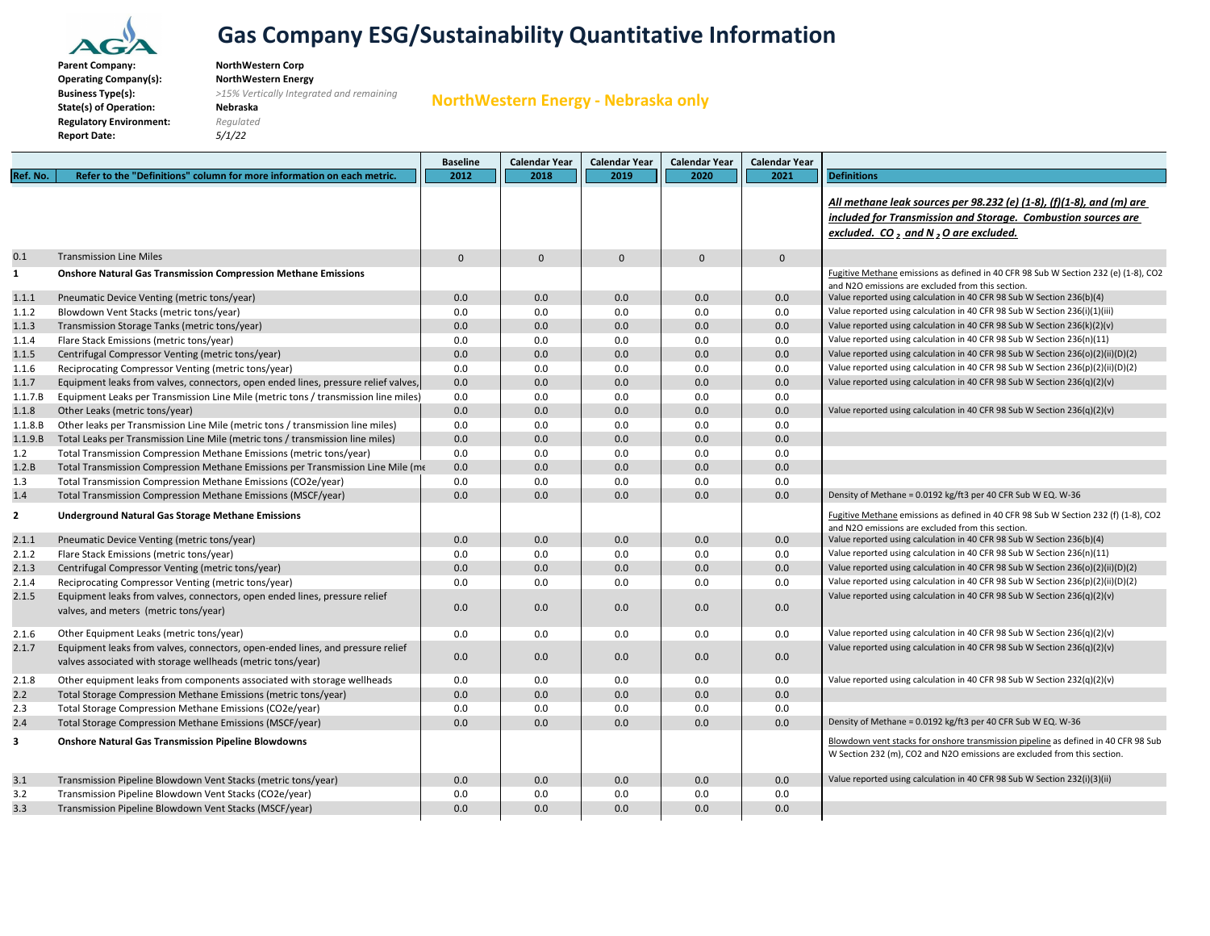

**Company: NorthWestern Corp**

**Type(s):** *>15% Vertically Integrated and remaining*

**NorthWestern Energy ‐ Nebraska only**

**ParentOperating Company(s): NorthWestern Energy Business Type(s): State(s) of Operation: Nebraska Regulatory Environment:** *Regulated* **Report Date:** *5/1/22*

**Baseline Calendar Year Calendar Year Calendar Year Calendar Year Ref.**. No. | Refer to the "Definitions" column for more information on each metric. ||| 2012 ||| 2018 ||| 2019 ||| 2020 ||| 2021 || Definitions *All methane leak sources per 98.232 (e) (1‐8), (f)(1‐8), and (m) are included for Transmission and Storage. Combustion sources are excluded. CO 2 and <sup>N</sup> <sup>2</sup> <sup>O</sup> are excluded.* 0.1 Transmission Line Miles Line Miles 00000 $\mathsf{O}\xspace$ **1** Fugitive Methane emissions as defined in 40 CFR 98 Sub W Section 232 (e) (1‐8), CO2 and N2O emissions are excluded from this section. 1.1.1 0.0 0.0 0.0 0.0 0.0 Value reported using calculation in 40 CFR 98 Sub W Section 236(b)(4) 1.1.2 0.0 0.0 0.0 0.0 0.0 Value reported using calculation in 40 CFR 98 Sub W Section 236(i)(1)(iii) 1.1.30.0 0.0 0.0 0.0 0.0 0.0 0.0 0.0 Value reported using calculation in 40 CFR 98 Sub W Section 236(k)(2)(v) 1.1.4 Flare Stack Emissions (metric tons/vear) Stack Emissions (metric tons/year) 0.0 0.0 0.0 0.0 0.0 Value reported using calculation in <sup>40</sup> CFR <sup>98</sup> Sub <sup>W</sup> Section 236(n)(11) 1.1.50.0 0.0 0.0 0.0 0.0 0.0 0.0 0.0 Value reported using calculation in 40 CFR 98 Sub W Section 236(o)(2)(ii)(D)(2) 1.1.60.0 0.0 0.0 0.0 0.0 0.0 0.0 Value reported using calculation in 40 CFR 98 Sub W Section 236(p)(2)(ii)(D)(2) 1.1.7 0.0 0.0 0.0 0.0 0.0 Value reported using calculation in 40 CFR 98 Sub W Section 236(q)(2)(v) Equipment leaks from valves, connectors, open ended lines, pressure relief valves, 1.1.7.B Equipment Leaks per Transmission Line Mile (metric tons / transmission line miles) 0.0 0.0 0.0 0.0 0.0 0.0 0.0 0.0 0.0 1.1.80.0 0.0 0.0 0.0 0.0 0.0 0.0 0.0 Value reported using calculation in 40 CFR 98 Sub W Section 236(q)(2)(v)  $1.1.8.B$ r leaks per Transmission Line Mile (metric tons / transmission line miles) 0.0 0.0 0.0 0.0  $1.1.9.B$ l Leaks per Transmission Line Mile (metric tons / transmission line miles) 0.0 0.0 0.0 0.0 1.2 0.0 0.0 0.0 0.0 0.0 Total Transmission Compression Methane Emissions (metric tons/year) 1.2.B Total Transmission Compression Methane Emissions per Transmission Line Mile (m $\epsilon$  0.0  $\vert$  0.0  $\vert$  0.0  $\vert$  0.0  $\vert$  0.0  $\vert$  0.0 1.3 0.0 0.0 0.0 0.0 0.0 Total Transmission Compression Methane Emissions (CO2e/year) 1.4 0.0 0.0 0.0 0.0 0.0 Density of Methane <sup>=</sup> 0.0192 kg/ft3 per 40 CFR Sub <sup>W</sup> EQ. <sup>W</sup>‐36 Total Transmission Compression Methane Emissions (MSCF/year) **2** Fugitive Methane emissions as defined in 40 CFR 98 Sub W Section 232 (f) (1‐8), CO2 and N2O emissions are excluded from this section. 2.1.1 0.0 0.0 0.0 0.0 0.0 Value reported using calculation in 40 CFR 98 Sub W Section 236(b)(4) 2.1.2 Flare Stack Emissions (metric tons/year) Stack Emissions (metric tons/year) 0.0 0.0 0.0 0.0 0.0 Value reported using calculation in <sup>40</sup> CFR <sup>98</sup> Sub <sup>W</sup> Section 236(n)(11) 2.1.30.0 0.0 0.0 0.0 0.0 0.0 0.0 0.0 Value reported using calculation in 40 CFR 98 Sub W Section 236(o)(2)(ii)(D)(2) 2.1.4 0.0 0.0 0.0 0.0 0.0 Value reported using calculation in 40 CFR 98 Sub W Section 236(p)(2)(ii)(D)(2) 2.1.50.0 0.0 0.0 0.0 0.0Value reported using calculation in 40 CFR 98 Sub W Section 236(q)(2)(v) 2.1.6 $\begin{bmatrix} 0.0 \end{bmatrix}$   $\begin{bmatrix} 0.0 \end{bmatrix}$   $\begin{bmatrix} 0.0 \end{bmatrix}$   $\begin{bmatrix} 0.0 \end{bmatrix}$   $\begin{bmatrix} 0.0 \end{bmatrix}$  Value reported using calculation in 40 CFR 98 Sub W Section 236(q)(2)(v) 2.1.70.0 0.0 0.0 0.0 0.0Value reported using calculation in 40 CFR 98 Sub W Section 236(q)(2)(v) 2.1.88 Other equipment leaks from components associated with storage wellheads | 0.0 | 0.0 | 0.0 | 0.0 | 0.0 | Value reported using calculation in 40 CFR 98 Sub W Section 232(q)(2)(v) 2.22 Total Storage Compression Methane Emissions (metric tons/year) | 0.0 | 0.0 | 0.0 | 0.0 2.3 0.0 0.0 0.0 0.0 0.0 Total Storage Compression Methane Emissions (CO2e/year) 2.4 0.0 0.0 0.0 0.0 0.0 Density of Methane <sup>=</sup> 0.0192 kg/ft3 per 40 CFR Sub <sup>W</sup> EQ. <sup>W</sup>‐36 Total Storage Compression Methane Emissions (MSCF/year) **3** Blowdown vent stacks for onshore transmission pipeline as defined in 40 CFR 98 Sub W Section 232 (m), CO2 and N2O emissions are excluded from this section. 3.1 0.0 0.0 0.0 0.0 0.0 Value reported using calculation in 40 CFR 98 Sub W Section 232(i)(3)(ii) Transmission Pipeline Blowdown Vent Stacks (metric tons/year) 3.2 0.0 0.0 0.0 0.0 0.0 Transmission Pipeline Blowdown Vent Stacks (CO2e/year) 3.3 0.0 0.0 0.0 0.0 0.0 Transmission Pipeline Blowdown Vent Stacks (MSCF/year)**Onshore Natural Gas Transmission Compression Methane Emissions** Pneumatic Device Venting (metric tons/year) Blowdown Vent Stacks (metric tons/year) Transmission Storage Tanks (metric tons/year) Centrifugal Compressor Venting (metric tons/year) Reciprocating Compressor Venting (metric tons/year) Other Leaks (metric tons/year) **Underground Natural Gas Storage Methane Emissions** Pneumatic Device Venting (metric tons/year) Centrifugal Compressor Venting (metric tons/year) Reciprocating Compressor Venting (metric tons/year) Equipment leaks from valves, connectors, open ended lines, pressure relief valves, and meters (metric tons/year) Other Equipment Leaks (metric tons/year) Equipment leaks from valves, connectors, open‐ended lines, and pressure relief valves associated with storage wellheads (metric tons/year) **Onshore Natural Gas Transmission Pipeline Blowdowns**